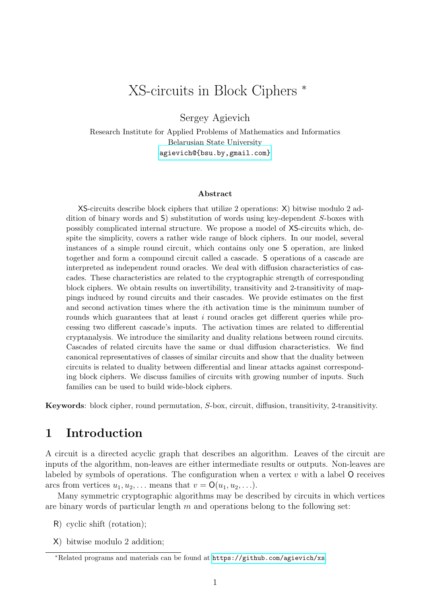# XS-circuits in Block Ciphers <sup>∗</sup>

Sergey Agievich

Research Institute for Applied Problems of Mathematics and Informatics Belarusian State University <agievich@{bsu.by,gmail.com}>

#### Abstract

XS-circuits describe block ciphers that utilize 2 operations: X) bitwise modulo 2 addition of binary words and S) substitution of words using key-dependent S-boxes with possibly complicated internal structure. We propose a model of XS-circuits which, despite the simplicity, covers a rather wide range of block ciphers. In our model, several instances of a simple round circuit, which contains only one S operation, are linked together and form a compound circuit called a cascade. S operations of a cascade are interpreted as independent round oracles. We deal with diffusion characteristics of cascades. These characteristics are related to the cryptographic strength of corresponding block ciphers. We obtain results on invertibility, transitivity and 2-transitivity of mappings induced by round circuits and their cascades. We provide estimates on the first and second activation times where the ith activation time is the minimum number of rounds which guarantees that at least i round oracles get different queries while processing two different cascade's inputs. The activation times are related to differential cryptanalysis. We introduce the similarity and duality relations between round circuits. Cascades of related circuits have the same or dual diffusion characteristics. We find canonical representatives of classes of similar circuits and show that the duality between circuits is related to duality between differential and linear attacks against corresponding block ciphers. We discuss families of circuits with growing number of inputs. Such families can be used to build wide-block ciphers.

Keywords: block cipher, round permutation, S-box, circuit, diffusion, transitivity, 2-transitivity.

#### 1 Introduction

A circuit is a directed acyclic graph that describes an algorithm. Leaves of the circuit are inputs of the algorithm, non-leaves are either intermediate results or outputs. Non-leaves are labeled by symbols of operations. The configuration when a vertex  $v$  with a label  $\mathsf O$  receives arcs from vertices  $u_1, u_2, \ldots$  means that  $v = \mathsf{O}(u_1, u_2, \ldots)$ .

Many symmetric cryptographic algorithms may be described by circuits in which vertices are binary words of particular length  $m$  and operations belong to the following set:

- R) cyclic shift (rotation);
- X) bitwise modulo 2 addition;

<sup>∗</sup>Related programs and materials can be found at <https://github.com/agievich/xs>.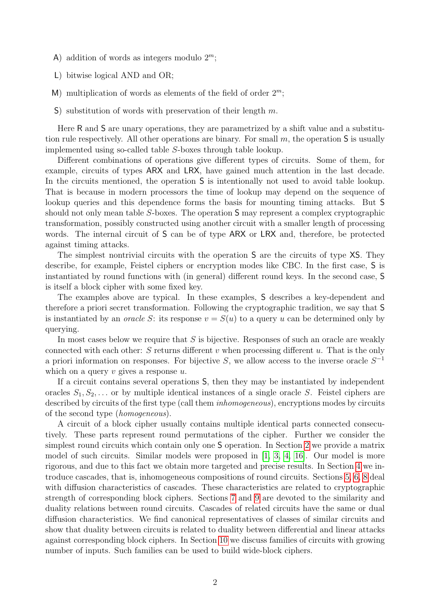- A) addition of words as integers modulo  $2^m$ ;
- L) bitwise logical AND and OR;
- M) multiplication of words as elements of the field of order  $2^m$ ;
- S) substitution of words with preservation of their length  $m$ .

Here R and S are unary operations, they are parametrized by a shift value and a substitution rule respectively. All other operations are binary. For small  $m$ , the operation S is usually implemented using so-called table S-boxes through table lookup.

Different combinations of operations give different types of circuits. Some of them, for example, circuits of types ARX and LRX, have gained much attention in the last decade. In the circuits mentioned, the operation S is intentionally not used to avoid table lookup. That is because in modern processors the time of lookup may depend on the sequence of lookup queries and this dependence forms the basis for mounting timing attacks. But S should not only mean table S-boxes. The operation S may represent a complex cryptographic transformation, possibly constructed using another circuit with a smaller length of processing words. The internal circuit of S can be of type ARX or LRX and, therefore, be protected against timing attacks.

The simplest nontrivial circuits with the operation S are the circuits of type XS. They describe, for example, Feistel ciphers or encryption modes like CBC. In the first case, S is instantiated by round functions with (in general) different round keys. In the second case, S is itself a block cipher with some fixed key.

The examples above are typical. In these examples, S describes a key-dependent and therefore a priori secret transformation. Following the cryptographic tradition, we say that S is instantiated by an *oracle S*: its response  $v = S(u)$  to a query u can be determined only by querying.

In most cases below we require that  $S$  is bijective. Responses of such an oracle are weakly connected with each other:  $S$  returns different  $v$  when processing different  $u$ . That is the only a priori information on responses. For bijective S, we allow access to the inverse oracle  $S^{-1}$ which on a query  $v$  gives a response  $u$ .

If a circuit contains several operations S, then they may be instantiated by independent oracles  $S_1, S_2, \ldots$  or by multiple identical instances of a single oracle S. Feistel ciphers are described by circuits of the first type (call them *inhomogeneous*), encryptions modes by circuits of the second type (homogeneous).

A circuit of a block cipher usually contains multiple identical parts connected consecutively. These parts represent round permutations of the cipher. Further we consider the simplest round circuits which contain only one S operation. In Section [2](#page-2-0) we provide a matrix model of such circuits. Similar models were proposed in [\[1,](#page-23-0) [3,](#page-23-1) [4,](#page-23-2) [16\]](#page-24-0). Our model is more rigorous, and due to this fact we obtain more targeted and precise results. In Section [4](#page-6-0) we introduce cascades, that is, inhomogeneous compositions of round circuits. Sections [5,](#page-8-0) [6,](#page-10-0) [8](#page-17-0) deal with diffusion characteristics of cascades. These characteristics are related to cryptographic strength of corresponding block ciphers. Sections [7](#page-13-0) and [9](#page-19-0) are devoted to the similarity and duality relations between round circuits. Cascades of related circuits have the same or dual diffusion characteristics. We find canonical representatives of classes of similar circuits and show that duality between circuits is related to duality between differential and linear attacks against corresponding block ciphers. In Section [10](#page-21-0) we discuss families of circuits with growing number of inputs. Such families can be used to build wide-block ciphers.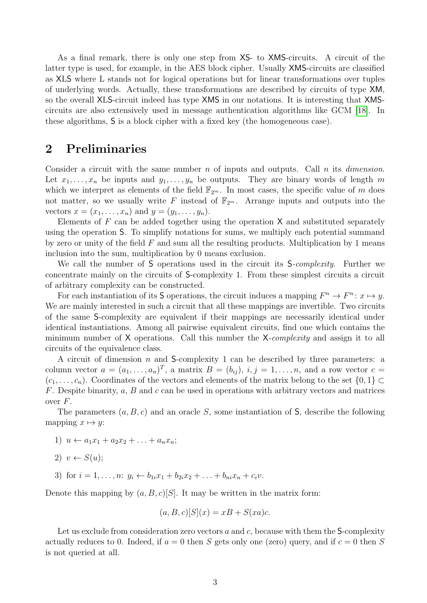As a final remark, there is only one step from XS- to XMS-circuits. A circuit of the latter type is used, for example, in the AES block cipher. Usually XMS-circuits are classified as XLS where L stands not for logical operations but for linear transformations over tuples of underlying words. Actually, these transformations are described by circuits of type XM, so the overall XLS-circuit indeed has type XMS in our notations. It is interesting that XMScircuits are also extensively used in message authentication algorithms like GCM [\[18\]](#page-24-1). In these algorithms, S is a block cipher with a fixed key (the homogeneous case).

#### <span id="page-2-0"></span>2 Preliminaries

Consider a circuit with the same number n of inputs and outputs. Call n its *dimension*. Let  $x_1, \ldots, x_n$  be inputs and  $y_1, \ldots, y_n$  be outputs. They are binary words of length m which we interpret as elements of the field  $\mathbb{F}_{2^m}$ . In most cases, the specific value of m does not matter, so we usually write F instead of  $\mathbb{F}_{2^m}$ . Arrange inputs and outputs into the vectors  $x = (x_1, \ldots, x_n)$  and  $y = (y_1, \ldots, y_n)$ .

Elements of  $F$  can be added together using the operation  $X$  and substituted separately using the operation S. To simplify notations for sums, we multiply each potential summand by zero or unity of the field  $F$  and sum all the resulting products. Multiplication by 1 means inclusion into the sum, multiplication by 0 means exclusion.

We call the number of S operations used in the circuit its S-complexity. Further we concentrate mainly on the circuits of S-complexity 1. From these simplest circuits a circuit of arbitrary complexity can be constructed.

For each instantiation of its S operations, the circuit induces a mapping  $F^n \to F^n$ :  $x \mapsto y$ . We are mainly interested in such a circuit that all these mappings are invertible. Two circuits of the same S-complexity are equivalent if their mappings are necessarily identical under identical instantiations. Among all pairwise equivalent circuits, find one which contains the minimum number of X operations. Call this number the X-complexity and assign it to all circuits of the equivalence class.

A circuit of dimension n and S-complexity 1 can be described by three parameters: a column vector  $a = (a_1, \ldots, a_n)^T$ , a matrix  $B = (b_{ij}), i, j = 1, \ldots, n$ , and a row vector  $c =$  $(c_1, \ldots, c_n)$ . Coordinates of the vectors and elements of the matrix belong to the set  $\{0,1\} \subset$  $F$ . Despite binarity,  $a$ ,  $B$  and  $c$  can be used in operations with arbitrary vectors and matrices over  $F$ .

The parameters  $(a, B, c)$  and an oracle S, some instantiation of S, describe the following mapping  $x \mapsto y$ :

- 1)  $u \leftarrow a_1x_1 + a_2x_2 + \ldots + a_nx_n;$
- 2)  $v \leftarrow S(u)$ ;
- 3) for  $i = 1, ..., n$ :  $y_i \leftarrow b_{1i}x_1 + b_{2i}x_2 + ... + b_{ni}x_n + c_i v$ .

Denote this mapping by  $(a, B, c)[S]$ . It may be written in the matrix form:

$$
(a, B, c)[S](x) = xB + S(xa)c.
$$

Let us exclude from consideration zero vectors  $a$  and  $c$ , because with them the S-complexity actually reduces to 0. Indeed, if  $a = 0$  then S gets only one (zero) query, and if  $c = 0$  then S is not queried at all.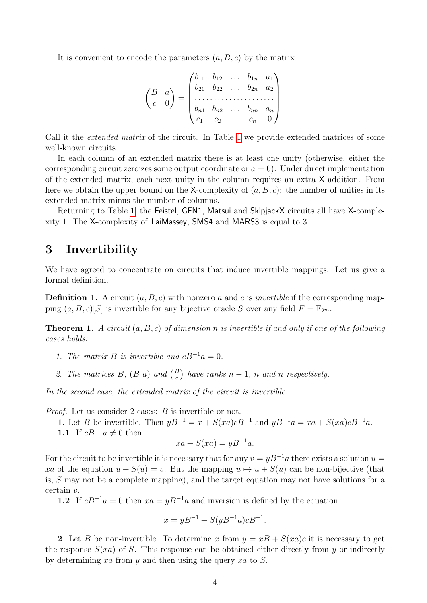It is convenient to encode the parameters  $(a, B, c)$  by the matrix

$$
\begin{pmatrix} B & a \\ c & 0 \end{pmatrix} = \begin{pmatrix} b_{11} & b_{12} & \dots & b_{1n} & a_1 \\ b_{21} & b_{22} & \dots & b_{2n} & a_2 \\ \dots & \dots & \dots & \dots & \dots \\ b_{n1} & b_{n2} & \dots & b_{nn} & a_n \\ c_1 & c_2 & \dots & c_n & 0 \end{pmatrix}
$$

.

Call it the extended matrix of the circuit. In Table [1](#page-4-0) we provide extended matrices of some well-known circuits.

In each column of an extended matrix there is at least one unity (otherwise, either the corresponding circuit zeroizes some output coordinate or  $a = 0$ ). Under direct implementation of the extended matrix, each next unity in the column requires an extra X addition. From here we obtain the upper bound on the X-complexity of  $(a, B, c)$ : the number of unities in its extended matrix minus the number of columns.

Returning to Table [1,](#page-4-0) the Feistel, GFN1, Matsui and SkipjackX circuits all have X-complexity 1. The X-complexity of LaiMassey, SMS4 and MARS3 is equal to 3.

#### 3 Invertibility

We have agreed to concentrate on circuits that induce invertible mappings. Let us give a formal definition.

**Definition 1.** A circuit  $(a, B, c)$  with nonzero a and c is *invertible* if the corresponding mapping  $(a, B, c)[S]$  is invertible for any bijective oracle S over any field  $F = \mathbb{F}_{2^m}$ .

<span id="page-3-0"></span>**Theorem 1.** A circuit  $(a, B, c)$  of dimension n is invertible if and only if one of the following cases holds:

- 1. The matrix B is invertible and  $cB^{-1}a = 0$ .
- 2. The matrices B,  $(B \ a)$  and  $\binom{B}{c}$  have ranks  $n-1$ , n and n respectively.

In the second case, the extended matrix of the circuit is invertible.

Proof. Let us consider 2 cases: B is invertible or not.

1. Let B be invertible. Then  $yB^{-1} = x + S(xa)cB^{-1}$  and  $yB^{-1}a = xa + S(xa)cB^{-1}a$ . 1.1. If  $cB^{-1}a \neq 0$  then

$$
xa + S(xa) = yB^{-1}a.
$$

For the circuit to be invertible it is necessary that for any  $v = yB^{-1}a$  there exists a solution  $u =$ xa of the equation  $u + S(u) = v$ . But the mapping  $u \mapsto u + S(u)$  can be non-bijective (that is, S may not be a complete mapping), and the target equation may not have solutions for a certain v.

1.2. If  $cB^{-1}a = 0$  then  $xa = yB^{-1}a$  and inversion is defined by the equation

$$
x = yB^{-1} + S(yB^{-1}a)cB^{-1}.
$$

2. Let B be non-invertible. To determine x from  $y = xB + S(xa)c$  it is necessary to get the response  $S(xa)$  of S. This response can be obtained either directly from y or indirectly by determining xa from y and then using the query xa to S.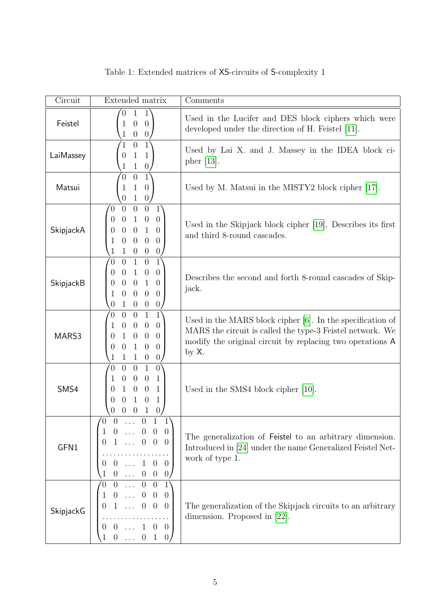| Circuit   | Extended matrix                                                                                                                                                                                                                                                                                                                                                                                  | Comments                                                                                                                                                                                            |
|-----------|--------------------------------------------------------------------------------------------------------------------------------------------------------------------------------------------------------------------------------------------------------------------------------------------------------------------------------------------------------------------------------------------------|-----------------------------------------------------------------------------------------------------------------------------------------------------------------------------------------------------|
| Feistel   | $1^{\circ}$<br>$\mathbf{1}$<br>$\overline{0}$<br>$\theta$<br>$\overline{0}$<br>1<br>$\theta$<br>$\boldsymbol{0}$<br>1                                                                                                                                                                                                                                                                            | Used in the Lucifer and DES block ciphers which were<br>developed under the direction of H. Feistel [11].                                                                                           |
| LaiMassey | $1^{\circ}$<br>$\theta$<br>1<br>$\mathbf{1}$<br>$\mathbf{1}$<br>$\overline{0}$<br>$\mathbf{1}$<br>$\boldsymbol{0}$<br>1                                                                                                                                                                                                                                                                          | Used by Lai X. and J. Massey in the IDEA block ci-<br>pher $[13]$ .                                                                                                                                 |
| Matsui    | $\overline{1}$<br>$\overline{0}$<br>$\overline{0}$<br>$\mathbf{1}$<br>$\theta$<br>1<br>$\mathbf{1}$<br>$\theta$<br>$\theta$                                                                                                                                                                                                                                                                      | Used by M. Matsui in the MISTY2 block cipher [17].                                                                                                                                                  |
| SkipjackA | $\overline{0}$<br>$\theta$<br>$1^{\circ}$<br>$\overline{0}$<br>0<br>$\boldsymbol{0}$<br>$\theta$<br>$\mathbf{1}$<br>$\theta$<br>0<br>$\,1\,$<br>$\overline{0}$<br>$\theta$<br>$\theta$<br>0<br>$\theta$<br>$\overline{0}$<br>$\boldsymbol{0}$<br>1<br>$\theta$<br>$\theta$<br>$\overline{0}$<br>$\mathbf{1}$<br>$\theta$<br>1                                                                    | Used in the Skipjack block cipher [19]. Describes its first<br>and third 8-round cascades.                                                                                                          |
| SkipjackB | $\mathbf{1}$<br>$\overline{0}$<br>$1^{\circ}$<br>$\overline{0}$<br>$\overline{0}$<br>$\theta$<br>$\mathbf{1}$<br>$\theta$<br>$\overline{0}$<br>$\theta$<br>$\mathbf{1}$<br>$\overline{0}$<br>$\overline{0}$<br>$\overline{0}$<br>$\theta$<br>$\theta$<br>$\overline{0}$<br>$\overline{0}$<br>1<br>$\overline{0}$<br>$\boldsymbol{0}$<br>$\theta$<br>$\mathbf{1}$<br>$\boldsymbol{0}$<br>$\theta$ | Describes the second and forth 8-round cascades of Skip-<br>jack.                                                                                                                                   |
| MARS3     | $\mathbf{1}$<br>$1^{\circ}$<br>$\overline{0}$<br>$\overline{0}$<br>0<br>$\theta$<br>$\theta$<br>$\theta$<br>$\overline{0}$<br>1<br>$\theta$<br>$\theta$<br>$\mathbf{1}$<br>$\theta$<br>0<br>$\mathbf{1}$<br>$\overline{0}$<br>$\theta$<br>$\theta$<br>0<br>$\boldsymbol{0}$<br>$\theta$<br>$\mathbf{1}$<br>1<br>$\mathbf{1}$                                                                     | Used in the MARS block cipher $[6]$ . In the specification of<br>MARS the circuit is called the type-3 Feistel network. We<br>modify the original circuit by replacing two operations A<br>by $X$ . |
| SMS4      | $\mathbf{1}$<br>$\overline{0}$<br>$\left 0\right\rangle$<br>$\overline{0}$<br>0<br>$\theta$<br>$\mathbf{1}$<br>$\overline{0}$<br>1<br>$\overline{0}$<br>$\theta$<br>$\mathbf{1}$<br>$\overline{0}$<br>0<br>$\mathbf{1}$<br>$\theta$<br>$\mathbf{1}$<br>0<br>$\theta$<br>0                                                                                                                        | Used in the SMS4 block cipher $[10]$ .                                                                                                                                                              |
| GFN1      | $\ldots$ 0 1 1<br>$\overline{0}$<br>$\begin{array}{cccccc} 0 & \ldots & 0 & 0 & 0 \\ 1 & \ldots & 0 & 0 & 0 \end{array}$<br>$\mathbf{1}$<br>$\boldsymbol{0}$<br>$\overline{0}$<br>$0 \ldots 1 \; 0 \; 0$<br>$\begin{matrix} 0 & \dots & 0 & 0 & 0 \end{matrix}$                                                                                                                                  | The generalization of Feistel to an arbitrary dimension.<br>Introduced in [24] under the name Generalized Feistel Net-<br>work of type 1.                                                           |
| SkipjackG | $0 \ldots 0 0$<br>$\sqrt{0}$<br>1<br>$\begin{array}{cccccc} 0 & \ldots & 0 & 0 & 0 \\ 1 & \ldots & 0 & 0 & 0 \end{array}$<br>$\mathbf{1}$<br>$\boldsymbol{0}$<br>$\overline{0}$<br>$0 \ldots 1 \quad 0 \quad 0$<br>$0 \ldots 0 1 0$                                                                                                                                                              | The generalization of the Skipjack circuits to an arbitrary<br>dimension. Proposed in $[22]$ .                                                                                                      |

<span id="page-4-0"></span>Table 1: Extended matrices of XS-circuits of S-complexity 1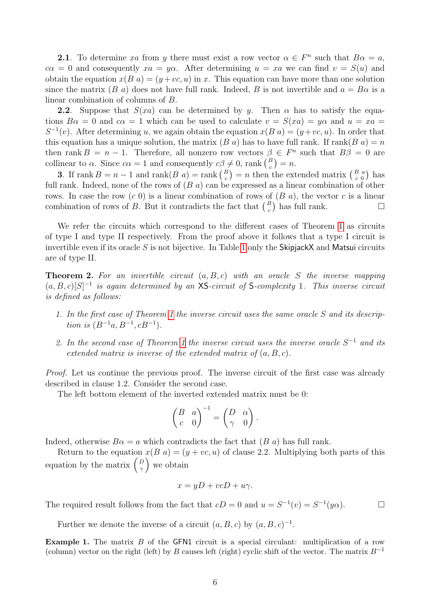**2.1**. To determine xa from y there must exist a row vector  $\alpha \in F^n$  such that  $B\alpha = a$ ,  $c\alpha = 0$  and consequently  $xa = y\alpha$ . After determining  $u = xa$  we can find  $v = S(u)$  and obtain the equation  $x(B \t a) = (y+vc, u)$  in x. This equation can have more than one solution since the matrix (B a) does not have full rank. Indeed, B is not invertible and  $a = B\alpha$  is a linear combination of columns of B.

**2.2.** Suppose that  $S(xa)$  can be determined by y. Then  $\alpha$  has to satisfy the equations  $B\alpha = 0$  and  $c\alpha = 1$  which can be used to calculate  $v = S(xa) = y\alpha$  and  $u = xa$  $S^{-1}(v)$ . After determining u, we again obtain the equation  $x(B \mid a) = (y+vc, u)$ . In order that this equation has a unique solution, the matrix  $(B \ a)$  has to have full rank. If rank $(B \ a) = n$ then rank  $B = n - 1$ . Therefore, all nonzero row vectors  $\beta \in F^n$  such that  $B\beta = 0$  are collinear to  $\alpha$ . Since  $c\alpha = 1$  and consequently  $c\beta \neq 0$ , rank  $\binom{B}{c} = n$ .

**3.** If rank  $B = n - 1$  and rank  $(B \ a) = \text{rank} \begin{pmatrix} B \\ c \end{pmatrix} = n$  then the extended matrix  $\begin{pmatrix} B & a \\ c & 0 \end{pmatrix}$  has full rank. Indeed, none of the rows of  $(B \ a)$  can be expressed as a linear combination of other rows. In case the row  $(c\ 0)$  is a linear combination of rows of  $(B\ a)$ , the vector c is a linear combination of rows of B. But it contradicts the fact that  $\binom{B}{c}$  has full rank.

We refer the circuits which correspond to the different cases of Theorem [1](#page-3-0) as circuits of type I and type II respectively. From the proof above it follows that a type I circuit is invertible even if its oracle S is not bijective. In Table [1](#page-4-0) only the  $\mathsf{Skip}$  jackX and Matsui circuits are of type II.

**Theorem 2.** For an invertible circuit  $(a, B, c)$  with an oracle S the inverse mapping  $(a, B, c)[S]^{-1}$  is again determined by an XS-circuit of S-complexity 1. This inverse circuit is defined as follows:

- 1. In the first case of Theorem [1](#page-3-0) the inverse circuit uses the same oracle S and its description is  $(B^{-1}a, B^{-1}, cB^{-1}).$
- 2. In the second case of Theorem [1](#page-3-0) the inverse circuit uses the inverse oracle  $S^{-1}$  and its extended matrix is inverse of the extended matrix of  $(a, B, c)$ .

Proof. Let us continue the previous proof. The inverse circuit of the first case was already described in clause 1.2. Consider the second case.

The left bottom element of the inverted extended matrix must be 0:

$$
\begin{pmatrix} B & a \\ c & 0 \end{pmatrix}^{-1} = \begin{pmatrix} D & \alpha \\ \gamma & 0 \end{pmatrix}.
$$

Indeed, otherwise  $B\alpha = a$  which contradicts the fact that  $(B \ a)$  has full rank.

Return to the equation  $x(B \t a) = (y + vc, u)$  of clause 2.2. Multiplying both parts of this equation by the matrix  $\begin{pmatrix} D \\ D \end{pmatrix}$  $\binom{D}{\gamma}$  we obtain

$$
x = yD + vcD + u\gamma.
$$

The required result follows from the fact that  $cD = 0$  and  $u = S^{-1}(v) = S^{-1}(y\alpha)$ .

Further we denote the inverse of a circuit  $(a, B, c)$  by  $(a, B, c)^{-1}$ .

<span id="page-5-0"></span>**Example 1.** The matrix B of the GFN1 circuit is a special circulant: multiplication of a row (column) vector on the right (left) by B causes left (right) cyclic shift of the vector. The matrix  $B^{-1}$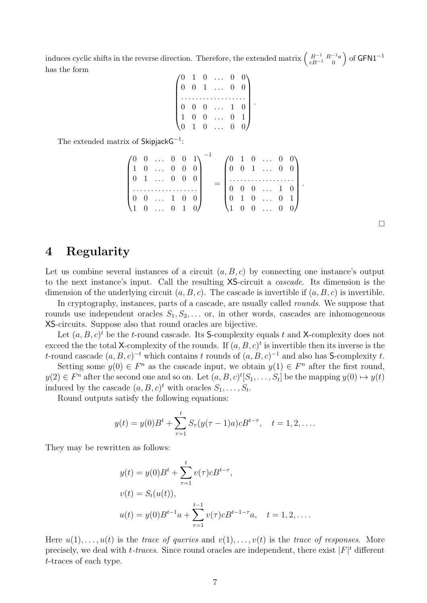induces cyclic shifts in the reverse direction. Therefore, the extended matrix  $\begin{pmatrix} B^{-1} & B^{-1}a \\ c & D^{-1} & 0 \end{pmatrix}$  $cB^{-1}$  0  $\big)$  of GFN1<sup>-1</sup> has the form

$$
\begin{pmatrix}\n0 & 1 & 0 & \dots & 0 & 0 \\
0 & 0 & 1 & \dots & 0 & 0 \\
\vdots & \vdots & \vdots & \ddots & \vdots & \vdots \\
0 & 0 & 0 & \dots & 1 & 0 \\
1 & 0 & 0 & \dots & 0 & 1 \\
0 & 1 & 0 & \dots & 0 & 0\n\end{pmatrix}
$$

.

The extended matrix of  $\mathsf{SkipjackG}^{-1}$ :

$$
\begin{pmatrix} 0 & 0 & \dots & 0 & 0 & 1 \\ 1 & 0 & \dots & 0 & 0 & 0 \\ 0 & 1 & \dots & 0 & 0 & 0 \\ \vdots & \vdots & \vdots & \ddots & \vdots & \vdots & \vdots \\ 0 & 0 & \dots & 1 & 0 & 0 \\ 1 & 0 & \dots & 0 & 1 & 0 \end{pmatrix}^{-1} = \begin{pmatrix} 0 & 1 & 0 & \dots & 0 & 0 \\ 0 & 0 & 1 & \dots & 0 & 0 \\ \vdots & \vdots & \vdots & \ddots & \vdots & \vdots \\ 0 & 0 & 0 & \dots & 1 & 0 \\ 0 & 1 & 0 & \dots & 0 & 1 \\ 1 & 0 & 0 & \dots & 0 & 0 \end{pmatrix}.
$$

 $\Box$ 

# <span id="page-6-0"></span>4 Regularity

Let us combine several instances of a circuit  $(a, B, c)$  by connecting one instance's output to the next instance's input. Call the resulting XS-circuit a cascade. Its dimension is the dimension of the underlying circuit  $(a, B, c)$ . The cascade is invertible if  $(a, B, c)$  is invertible.

In cryptography, instances, parts of a cascade, are usually called rounds. We suppose that rounds use independent oracles  $S_1, S_2, \ldots$  or, in other words, cascades are inhomogeneous XS-circuits. Suppose also that round oracles are bijective.

Let  $(a, B, c)^t$  be the t-round cascade. Its S-complexity equals t and X-complexity does not exceed the the total X-complexity of the rounds. If  $(a, B, c)^t$  is invertible then its inverse is the t-round cascade  $(a, B, c)^{-t}$  which contains t rounds of  $(a, B, c)^{-1}$  and also has S-complexity t.

Setting some  $y(0) \in F<sup>n</sup>$  as the cascade input, we obtain  $y(1) \in F<sup>n</sup>$  after the first round,  $y(2) \in F^n$  after the second one and so on. Let  $(a, B, c)^t[S_1, \ldots, S_t]$  be the mapping  $y(0) \mapsto y(t)$ induced by the cascade  $(a, B, c)^t$  with oracles  $S_1, \ldots, S_t$ .

Round outputs satisfy the following equations:

$$
y(t) = y(0)B^{t} + \sum_{\tau=1}^{t} S_{\tau}(y(\tau-1)a)cB^{t-\tau}, \quad t = 1, 2, ....
$$

They may be rewritten as follows:

$$
y(t) = y(0)B^{t} + \sum_{\tau=1}^{t} v(\tau)cB^{t-\tau},
$$
  
\n
$$
v(t) = S_{t}(u(t)),
$$
  
\n
$$
u(t) = y(0)B^{t-1}a + \sum_{\tau=1}^{t-1} v(\tau)cB^{t-1-\tau}a, \quad t = 1, 2, ....
$$

Here  $u(1), \ldots, u(t)$  is the trace of queries and  $v(1), \ldots, v(t)$  is the trace of responses. More precisely, we deal with  $t$ -traces. Since round oracles are independent, there exist  $|F|^t$  different t-traces of each type.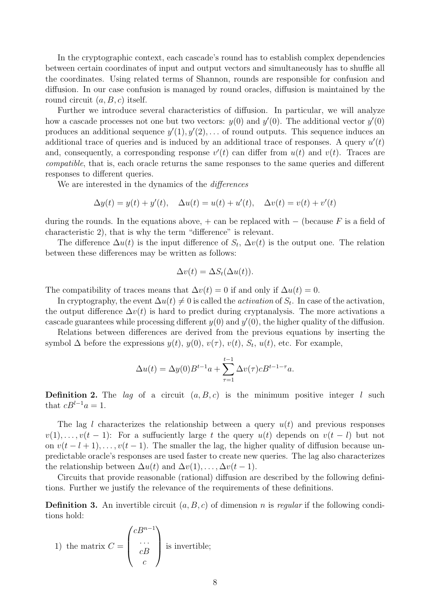In the cryptographic context, each cascade's round has to establish complex dependencies between certain coordinates of input and output vectors and simultaneously has to shuffle all the coordinates. Using related terms of Shannon, rounds are responsible for confusion and diffusion. In our case confusion is managed by round oracles, diffusion is maintained by the round circuit  $(a, B, c)$  itself.

Further we introduce several characteristics of diffusion. In particular, we will analyze how a cascade processes not one but two vectors:  $y(0)$  and  $y'(0)$ . The additional vector  $y'(0)$ produces an additional sequence  $y'(1), y'(2), \ldots$  of round outputs. This sequence induces an additional trace of queries and is induced by an additional trace of responses. A query  $u'(t)$ and, consequently, a corresponding response  $v'(t)$  can differ from  $u(t)$  and  $v(t)$ . Traces are compatible, that is, each oracle returns the same responses to the same queries and different responses to different queries.

We are interested in the dynamics of the differences

$$
\Delta y(t) = y(t) + y'(t), \quad \Delta u(t) = u(t) + u'(t), \quad \Delta v(t) = v(t) + v'(t)
$$

during the rounds. In the equations above,  $+$  can be replaced with  $-$  (because F is a field of characteristic 2), that is why the term "difference" is relevant.

The difference  $\Delta u(t)$  is the input difference of  $S_t$ ,  $\Delta v(t)$  is the output one. The relation between these differences may be written as follows:

$$
\Delta v(t) = \Delta S_t(\Delta u(t)).
$$

The compatibility of traces means that  $\Delta v(t) = 0$  if and only if  $\Delta u(t) = 0$ .

In cryptography, the event  $\Delta u(t) \neq 0$  is called the *activation* of  $S_t$ . In case of the activation, the output difference  $\Delta v(t)$  is hard to predict during cryptanalysis. The more activations a cascade guarantees while processing different  $y(0)$  and  $y'(0)$ , the higher quality of the diffusion.

Relations between differences are derived from the previous equations by inserting the symbol  $\Delta$  before the expressions  $y(t)$ ,  $y(0)$ ,  $v(\tau)$ ,  $v(t)$ ,  $S_t$ ,  $u(t)$ , etc. For example,

$$
\Delta u(t) = \Delta y(0)B^{t-1}a + \sum_{\tau=1}^{t-1} \Delta v(\tau)cB^{t-1-\tau}a.
$$

**Definition 2.** The *lag* of a circuit  $(a, B, c)$  is the minimum positive integer *l* such that  $cB^{l-1}a = 1$ .

The lag l characterizes the relationship between a query  $u(t)$  and previous responses  $v(1), \ldots, v(t-1)$ : For a suffuciently large t the query  $u(t)$  depends on  $v(t-l)$  but not on  $v(t - l + 1), \ldots, v(t - 1)$ . The smaller the lag, the higher quality of diffusion because unpredictable oracle's responses are used faster to create new queries. The lag also characterizes the relationship between  $\Delta u(t)$  and  $\Delta v(1), \ldots, \Delta v(t-1)$ .

Circuits that provide reasonable (rational) diffusion are described by the following definitions. Further we justify the relevance of the requirements of these definitions.

**Definition 3.** An invertible circuit  $(a, B, c)$  of dimension n is regular if the following conditions hold:

1) the matrix 
$$
C = \begin{pmatrix} cB^{n-1} \\ \cdots \\ cB \\ c \end{pmatrix}
$$
 is invertible;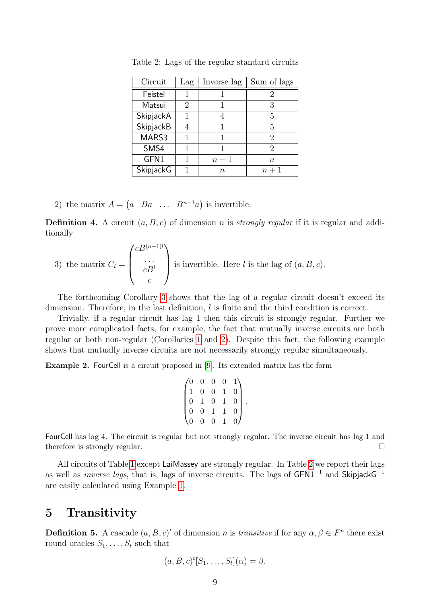| Circuit          | $_{\text{Lag}}$ | Inverse lag | Sum of lags |
|------------------|-----------------|-------------|-------------|
| Feistel          |                 |             |             |
| Matsui           | 2               |             | 3           |
| SkipjackA        |                 |             | 5           |
| SkipjackB        |                 |             | 5           |
| MARS3            |                 |             | 2           |
| SMS4             |                 |             | 2           |
| GFN1             |                 | $n-1$       | $\it n$     |
| <b>SkipjackG</b> |                 | $\,n$       | $n+1$       |

<span id="page-8-1"></span>Table 2: Lags of the regular standard circuits

2) the matrix  $A = \begin{pmatrix} a & Ba & \dots & B^{n-1}a \end{pmatrix}$  is invertible.

**Definition 4.** A circuit  $(a, B, c)$  of dimension *n* is *strongly regular* if it is regular and additionally

3) the matrix 
$$
C_l = \begin{pmatrix} cB^{(n-1)l} \\ \cdots \\ cB^l \\ c \end{pmatrix}
$$
 is invertible. Here *l* is the lag of  $(a, B, c)$ .

The forthcoming Corollary [3](#page-15-0) shows that the lag of a regular circuit doesn't exceed its dimension. Therefore, in the last definition, l is finite and the third condition is correct.

Trivially, if a regular circuit has lag 1 then this circuit is strongly regular. Further we prove more complicated facts, for example, the fact that mutually inverse circuits are both regular or both non-regular (Corollaries [1](#page-9-0) and [2\)](#page-11-0). Despite this fact, the following example shows that mutually inverse circuits are not necessarily strongly regular simultaneously.

Example 2. FourCell is a circuit proposed in [\[9\]](#page-23-6). Its extended matrix has the form

$$
\begin{pmatrix}\n0 & 0 & 0 & 0 & 1 \\
1 & 0 & 0 & 1 & 0 \\
0 & 1 & 0 & 1 & 0 \\
0 & 0 & 1 & 1 & 0 \\
0 & 0 & 0 & 1 & 0\n\end{pmatrix}.
$$

FourCell has lag 4. The circuit is regular but not strongly regular. The inverse circuit has lag 1 and therefore is strongly regular.

All circuits of Table [1](#page-4-0) except LaiMassey are strongly regular. In Table [2](#page-8-1) we report their lags as well as *inverse lags*, that is, lags of inverse circuits. The lags of  $GFN1^{-1}$  and  $SkipjackG^{-1}$ are easily calculated using Example [1.](#page-5-0)

## <span id="page-8-0"></span>5 Transitivity

**Definition 5.** A cascade  $(a, B, c)^t$  of dimension n is *transitive* if for any  $\alpha, \beta \in F^n$  there exist round oracles  $S_1, \ldots, S_t$  such that

$$
(a, B, c)^t[S_1, \ldots, S_t](\alpha) = \beta.
$$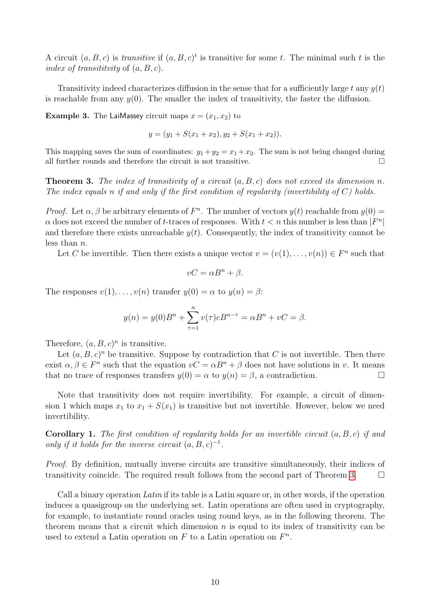A circuit  $(a, B, c)$  is transitive if  $(a, B, c)^t$  is transitive for some t. The minimal such t is the index of transitity of  $(a, B, c)$ .

Transitivity indeed characterizes diffusion in the sense that for a sufficiently large t any  $y(t)$ is reachable from any  $y(0)$ . The smaller the index of transitivity, the faster the diffusion.

<span id="page-9-2"></span>**Example 3.** The LaiMassey circuit maps  $x = (x_1, x_2)$  to

$$
y = (y_1 + S(x_1 + x_2), y_2 + S(x_1 + x_2)).
$$

This mapping saves the sum of coordinates:  $y_1 + y_2 = x_1 + x_2$ . The sum is not being changed during all further rounds and therefore the circuit is not transitive.  $\Box$ 

<span id="page-9-1"></span>**Theorem 3.** The index of transitivity of a circuit  $(a, B, c)$  does not exceed its dimension n. The index equals n if and only if the first condition of reqularity (invertibility of  $C$ ) holds.

*Proof.* Let  $\alpha, \beta$  be arbitrary elements of  $F<sup>n</sup>$ . The number of vectors  $y(t)$  reachable from  $y(0)$  =  $\alpha$  does not exceed the number of t-traces of responses. With  $t < n$  this number is less than  $|F^n|$ and therefore there exists unreachable  $y(t)$ . Consequently, the index of transitivity cannot be less than n.

Let C be invertible. Then there exists a unique vector  $v = (v(1), \ldots, v(n)) \in F<sup>n</sup>$  such that

$$
vC = \alpha B^n + \beta.
$$

The responses  $v(1), \ldots, v(n)$  transfer  $y(0) = \alpha$  to  $y(n) = \beta$ :

$$
y(n) = y(0)B^{n} + \sum_{\tau=1}^{n} v(\tau)cB^{n-\tau} = \alpha B^{n} + vC = \beta.
$$

Therefore,  $(a, B, c)^n$  is transitive.

Let  $(a, B, c)^n$  be transitive. Suppose by contradiction that C is not invertible. Then there exist  $\alpha, \beta \in F^n$  such that the equation  $vC = \alpha B^n + \beta$  does not have solutions in v. It means that no trace of responses transfers  $y(0) = \alpha$  to  $y(n) = \beta$ , a contradiction.

Note that transitivity does not require invertibility. For example, a circuit of dimension 1 which maps  $x_1$  to  $x_1 + S(x_1)$  is transitive but not invertible. However, below we need invertibility.

<span id="page-9-0"></span>**Corollary 1.** The first condition of regularity holds for an invertible circuit  $(a, B, c)$  if and only if it holds for the inverse circuit  $(a, B, c)^{-1}$ .

Proof. By definition, mutually inverse circuits are transitive simultaneously, their indices of transitivity coincide. The required result follows from the second part of Theorem [3.](#page-9-1)  $\Box$ 

Call a binary operation Latin if its table is a Latin square or, in other words, if the operation induces a quasigroup on the underlying set. Latin operations are often used in cryptography, for example, to instantiate round oracles using round keys, as in the following theorem. The theorem means that a circuit which dimension  $n$  is equal to its index of transitivity can be used to extend a Latin operation on  $F$  to a Latin operation on  $F<sup>n</sup>$ .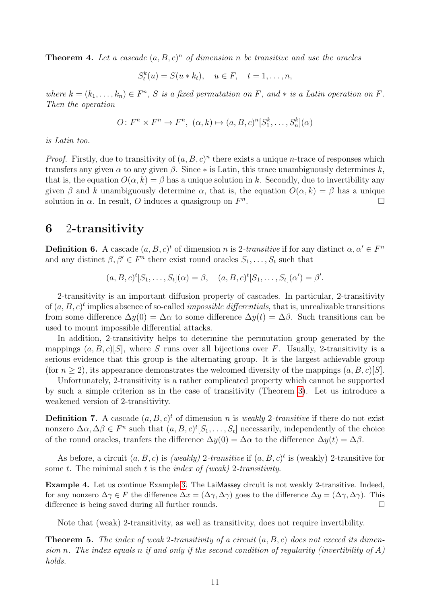**Theorem 4.** Let a cascade  $(a, B, c)^n$  of dimension n be transitive and use the oracles

 $S_t^k(u) = S(u * k_t), \quad u \in F, \quad t = 1, \dots, n,$ 

where  $k = (k_1, \ldots, k_n) \in F^n$ , S is a fixed permutation on F, and  $*$  is a Latin operation on F. Then the operation

$$
O: F^n \times F^n \to F^n, \ (\alpha, k) \mapsto (a, B, c)^n [S_1^k, \dots, S_n^k](\alpha)
$$

is Latin too.

*Proof.* Firstly, due to transitivity of  $(a, B, c)^n$  there exists a unique *n*-trace of responses which transfers any given  $\alpha$  to any given  $\beta$ . Since  $*$  is Latin, this trace unambiguously determines k, that is, the equation  $O(\alpha, k) = \beta$  has a unique solution in k. Secondly, due to invertibility any given  $\beta$  and k unambiguously determine  $\alpha$ , that is, the equation  $O(\alpha, k) = \beta$  has a unique solution in  $\alpha$ . In result, O induces a quasigroup on  $F^n$ . В последните последните последните и последните и последните и последните и последните и последните и послед<br>В 1990 године последните последните последните последните последните последните последните последните последни

#### <span id="page-10-0"></span>6 2-transitivity

**Definition 6.** A cascade  $(a, B, c)^t$  of dimension n is 2-transitive if for any distinct  $\alpha, \alpha' \in F^n$ and any distinct  $\beta, \beta' \in F^n$  there exist round oracles  $S_1, \ldots, S_t$  such that

 $(a, B, c)^t[S_1, \ldots, S_t](\alpha) = \beta, \quad (a, B, c)^t[S_1, \ldots, S_t](\alpha') = \beta'.$ 

2-transitivity is an important diffusion property of cascades. In particular, 2-transitivity of  $(a, B, c)^t$  implies absence of so-called *impossible differentials*, that is, unrealizable transitions from some difference  $\Delta y(0) = \Delta \alpha$  to some difference  $\Delta y(t) = \Delta \beta$ . Such transitions can be used to mount impossible differential attacks.

In addition, 2-transitivity helps to determine the permutation group generated by the mappings  $(a, B, c)[S]$ , where S runs over all bijections over F. Usually, 2-transitivity is a serious evidence that this group is the alternating group. It is the largest achievable group (for  $n \geq 2$ ), its appearance demonstrates the welcomed diversity of the mappings  $(a, B, c)[S]$ .

Unfortunately, 2-transitivity is a rather complicated property which cannot be supported by such a simple criterion as in the case of transitivity (Theorem [3\)](#page-9-1). Let us introduce a weakened version of 2-transitivity.

**Definition 7.** A cascade  $(a, B, c)^t$  of dimension n is weakly 2-transitive if there do not exist nonzero  $\Delta \alpha, \Delta \beta \in F^n$  such that  $(a, B, c)^t[S_1, \ldots, S_t]$  necessarily, independently of the choice of the round oracles, tranfers the difference  $\Delta y(0) = \Delta \alpha$  to the difference  $\Delta y(t) = \Delta \beta$ .

As before, a circuit  $(a, B, c)$  is *(weakly)* 2-transitive if  $(a, B, c)^t$  is (weakly) 2-transitive for some t. The minimal such t is the *index of (weak)* 2-transitivity.

Example 4. Let us continue Example [3.](#page-9-2) The LaiMassey circuit is not weakly 2-transitive. Indeed, for any nonzero  $\Delta \gamma \in F$  the difference  $\Delta x = (\Delta \gamma, \Delta \gamma)$  goes to the difference  $\Delta y = (\Delta \gamma, \Delta \gamma)$ . This difference is being saved during all further rounds.

Note that (weak) 2-transitivity, as well as transitivity, does not require invertibility.

<span id="page-10-1"></span>**Theorem 5.** The index of weak 2-transitivity of a circuit  $(a, B, c)$  does not exceed its dimension n. The index equals n if and only if the second condition of regularity (invertibility of  $A$ ) holds.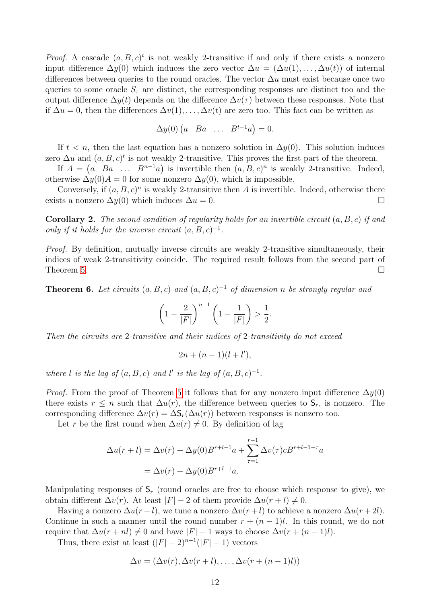*Proof.* A cascade  $(a, B, c)^t$  is not weakly 2-transitive if and only if there exists a nonzero input difference  $\Delta y(0)$  which induces the zero vector  $\Delta u = (\Delta u(1), \dots, \Delta u(t))$  of internal differences between queries to the round oracles. The vector  $\Delta u$  must exist because once two queries to some oracle  $S<sub>\tau</sub>$  are distinct, the corresponding responses are distinct too and the output difference  $\Delta y(t)$  depends on the difference  $\Delta v(\tau)$  between these responses. Note that if  $\Delta u = 0$ , then the differences  $\Delta v(1), \ldots, \Delta v(t)$  are zero too. This fact can be written as

$$
\Delta y(0) \begin{pmatrix} a & Ba & \dots & B^{t-1}a \end{pmatrix} = 0.
$$

If  $t < n$ , then the last equation has a nonzero solution in  $\Delta y(0)$ . This solution induces zero  $\Delta u$  and  $(a, B, c)^t$  is not weakly 2-transitive. This proves the first part of the theorem.

If  $A = \begin{pmatrix} a & Ba & \dots & B^{n-1}a \end{pmatrix}$  is invertible then  $(a, B, c)^n$  is weakly 2-transitive. Indeed, otherwise  $\Delta y(0)A = 0$  for some nonzero  $\Delta y(0)$ , which is impossible.

Conversely, if  $(a, B, c)^n$  is weakly 2-transitive then A is invertible. Indeed, otherwise there exists a nonzero  $\Delta y(0)$  which induces  $\Delta u = 0$ .

<span id="page-11-0"></span>**Corollary 2.** The second condition of regularity holds for an invertible circuit  $(a, B, c)$  if and only if it holds for the inverse circuit  $(a, B, c)^{-1}$ .

Proof. By definition, mutually inverse circuits are weakly 2-transitive simultaneously, their indices of weak 2-transitivity coincide. The required result follows from the second part of Theorem [5.](#page-10-1)  $\Box$ 

<span id="page-11-1"></span>**Theorem 6.** Let circuits  $(a, B, c)$  and  $(a, B, c)^{-1}$  of dimension n be strongly regular and

$$
\left(1 - \frac{2}{|F|}\right)^{n-1} \left(1 - \frac{1}{|F|}\right) > \frac{1}{2}.
$$

Then the circuits are 2-transitive and their indices of 2-transitivity do not exceed

 $2n + (n-1)(l+l'),$ 

where l is the lag of  $(a, B, c)$  and l' is the lag of  $(a, B, c)^{-1}$ .

*Proof.* From the proof of Theorem [5](#page-10-1) it follows that for any nonzero input difference  $\Delta y(0)$ there exists  $r \leq n$  such that  $\Delta u(r)$ , the difference between queries to  $S_r$ , is nonzero. The corresponding difference  $\Delta v(r) = \Delta S_r(\Delta u(r))$  between responses is nonzero too.

Let r be the first round when  $\Delta u(r) \neq 0$ . By definition of lag

$$
\Delta u(r+l) = \Delta v(r) + \Delta y(0)B^{r+l-1}a + \sum_{\tau=1}^{r-1} \Delta v(\tau)cB^{r+l-1-\tau}a
$$
  
=  $\Delta v(r) + \Delta y(0)B^{r+l-1}a$ .

Manipulating responses of  $S_r$  (round oracles are free to choose which response to give), we obtain different  $\Delta v(r)$ . At least  $|F| - 2$  of them provide  $\Delta u(r+l) \neq 0$ .

Having a nonzero  $\Delta u(r+l)$ , we tune a nonzero  $\Delta v(r+l)$  to achieve a nonzero  $\Delta u(r+2l)$ . Continue in such a manner until the round number  $r + (n-1)l$ . In this round, we do not require that  $\Delta u(r + nl) \neq 0$  and have  $|F| - 1$  ways to choose  $\Delta v(r + (n - 1)l)$ .

Thus, there exist at least  $(|F| - 2)^{n-1}(|F| - 1)$  vectors

$$
\Delta v = (\Delta v(r), \Delta v(r+l), \dots, \Delta v(r+(n-1)l))
$$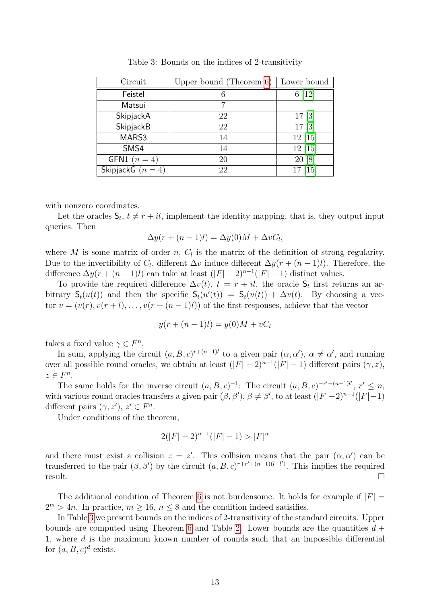| Circuit               | Upper bound (Theorem $6$ ) | Lower bound |
|-----------------------|----------------------------|-------------|
| Feistel               |                            | $6 \; [12]$ |
| Matsui                |                            |             |
| SkipjackA             | 22                         | $17 \; [3]$ |
| SkipjackB             | 22                         | 17[3]       |
| MARS3                 | 14                         | 12[15]      |
| SMS4                  | 14                         | 12 [15]     |
| <b>GFN1</b> $(n = 4)$ | 20                         | 20 [8]      |
| SkipjackG $(n=4)$     | 22                         | [15]        |

<span id="page-12-0"></span>Table 3: Bounds on the indices of 2-transitivity

with nonzero coordinates.

Let the oracles  $S_t$ ,  $t \neq r + il$ , implement the identity mapping, that is, they output input queries. Then

$$
\Delta y(r + (n-1)l) = \Delta y(0)M + \Delta vC_l,
$$

where M is some matrix of order n,  $C_l$  is the matrix of the definition of strong regularity. Due to the invertibility of  $C_l$ , different  $\Delta v$  induce different  $\Delta y(r + (n-1)l)$ . Therefore, the difference  $\Delta y(r + (n-1)l)$  can take at least  $(|F| - 2)^{n-1}(|F| - 1)$  distinct values.

To provide the required difference  $\Delta v(t)$ ,  $t = r + il$ , the oracle  $S_t$  first returns an arbitrary  $S_t(u(t))$  and then the specific  $S_t(u'(t)) = S_t(u(t)) + \Delta v(t)$ . By choosing a vector  $v = (v(r), v(r+l), \ldots, v(r+(n-1)l))$  of the first responses, achieve that the vector

$$
y(r + (n - 1)l) = y(0)M + vC_l
$$

takes a fixed value  $\gamma \in F^n$ .

In sum, applying the circuit  $(a, B, c)^{r+(n-1)l}$  to a given pair  $(\alpha, \alpha')$ ,  $\alpha \neq \alpha'$ , and running over all possible round oracles, we obtain at least  $(|F| - 2)^{n-1}(|F| - 1)$  different pairs  $(\gamma, z)$ ,  $z \in F^n$ .

The same holds for the inverse circuit  $(a, B, c)^{-1}$ : The circuit  $(a, B, c)^{-r'-(n-1)l'}$ ,  $r' \leq n$ , with various round oracles transfers a given pair  $(\beta, \beta')$ ,  $\beta \neq \beta'$ , to at least  $(|F|-2)^{n-1}(|F|-1)$ different pairs  $(\gamma, z')$ ,  $z' \in F^n$ .

Under conditions of the theorem,

$$
2(|F|-2)^{n-1}(|F|-1) > |F|^n
$$

and there must exist a collision  $z = z'$ . This collision means that the pair  $(\alpha, \alpha')$  can be transferred to the pair  $(\beta, \beta')$  by the circuit  $(a, B, c)^{r+r'+(n-1)(l+l')}$ . This implies the required result.

The additional condition of Theorem [6](#page-11-1) is not burdensome. It holds for example if  $|F|$  =  $2^m > 4n$ . In practice,  $m \ge 16$ ,  $n \le 8$  and the condition indeed satisifies.

In Table [3](#page-12-0) we present bounds on the indices of 2-transitivity of the standard circuits. Upper bounds are computed using Theorem [6](#page-11-1) and Table [2.](#page-8-1) Lower bounds are the quantities  $d +$ 1, where d is the maximum known number of rounds such that an impossible differential for  $(a, B, c)^d$  exists.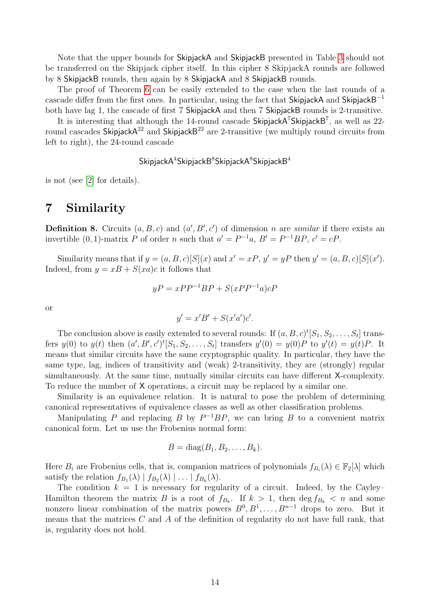Note that the upper bounds for SkipjackA and SkipjackB presented in Table [3](#page-12-0) should not be transferred on the Skipjack cipher itself. In this cipher 8 SkipjackA rounds are followed by 8 SkipjackB rounds, then again by 8 SkipjackA and 8 SkipjackB rounds.

The proof of Theorem [6](#page-11-1) can be easily extended to the case when the last rounds of a cascade differ from the first ones. In particular, using the fact that SkipjackA and SkipjackB<sup>-1</sup> both have lag 1, the cascade of first 7 SkipjackA and then 7 SkipjackB rounds is 2-transitive.

It is interesting that although the 14-round cascade SkipjackA<sup>7</sup>SkipjackB<sup>7</sup>, as well as 22round cascades Skipjack $A^{22}$  and Skipjack $B^{22}$  are 2-transitive (we multiply round circuits from left to right), the 24-round cascade

 ${\sf Skipjack}{\sf A}^{\rm 4}{\sf Skipjack}{\sf B}^{\rm 8}{\sf Skipjack}{\sf B}^{\rm 4}$ 

is not (see [\[2\]](#page-23-8) for details).

#### <span id="page-13-0"></span>7 Similarity

**Definition 8.** Circuits  $(a, B, c)$  and  $(a', B', c')$  of dimension n are *similar* if there exists an invertible  $(0, 1)$ -matrix P of order n such that  $a' = P^{-1}a$ ,  $B' = P^{-1}BP$ ,  $c' = cP$ .

Similarity means that if  $y = (a, B, c)[S](x)$  and  $x' = xP$ ,  $y' = yP$  then  $y' = (a, B, c)[S](x')$ . Indeed, from  $y = xB + S(xa)c$  it follows that

$$
yP = xPP^{-1}BP + S(xPP^{-1}a)cP
$$

or

$$
y' = x'B' + S(x'a')c'.
$$

The conclusion above is easily extended to several rounds: If  $(a, B, c)^t [S_1, S_2, \ldots, S_t]$  transfers  $y(0)$  to  $y(t)$  then  $(a', B', c')^t[S_1, S_2, \ldots, S_t]$  transfers  $y'(0) = y(0)P$  to  $y'(t) = y(t)P$ . It means that similar circuits have the same cryptographic quality. In particular, they have the same type, lag, indices of transitivity and (weak) 2-transitivity, they are (strongly) regular simultaneously. At the same time, mutually similar circuits can have different X-complexity. To reduce the number of X operations, a circuit may be replaced by a similar one.

Similarity is an equivalence relation. It is natural to pose the problem of determining canonical representatives of equivalence classes as well as other classification problems.

Manipulating P and replacing B by  $P^{-1}BP$ , we can bring B to a convenient matrix canonical form. Let us use the Frobenius normal form:

$$
B = diag(B_1, B_2, \ldots, B_k).
$$

Here  $B_i$  are Frobenius cells, that is, companion matrices of polynomials  $f_{B_i}(\lambda) \in \mathbb{F}_2[\lambda]$  which satisfy the relation  $f_{B_1}(\lambda) | f_{B_2}(\lambda) | \ldots | f_{B_k}(\lambda)$ .

The condition  $k = 1$  is necessary for regularity of a circuit. Indeed, by the Cayley– Hamilton theorem the matrix B is a root of  $f_{B_k}$ . If  $k > 1$ , then  $\deg f_{B_k} < n$  and some nonzero linear combination of the matrix powers  $B^0, B^1, \ldots, B^{n-1}$  drops to zero. But it means that the matrices  $C$  and  $A$  of the definition of regularity do not have full rank, that is, regularity does not hold.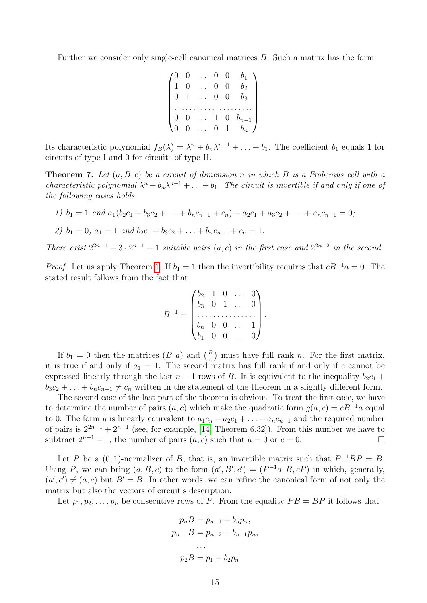Further we consider only single-cell canonical matrices B. Such a matrix has the form:

$$
\begin{pmatrix}\n0 & 0 & \dots & 0 & 0 & b_1 \\
1 & 0 & \dots & 0 & 0 & b_2 \\
0 & 1 & \dots & 0 & 0 & b_3 \\
\vdots & \vdots & \vdots & \ddots & \vdots & \vdots \\
0 & 0 & \dots & 1 & 0 & b_{n-1} \\
0 & 0 & \dots & 0 & 1 & b_n\n\end{pmatrix}
$$

.

Its characteristic polynomial  $f_B(\lambda) = \lambda^n + b_n \lambda^{n-1} + \ldots + b_1$ . The coefficient  $b_1$  equals 1 for circuits of type I and 0 for circuits of type II.

<span id="page-14-0"></span>**Theorem 7.** Let  $(a, B, c)$  be a circuit of dimension n in which B is a Frobenius cell with a characteristic polynomial  $\lambda^n + b_n \lambda^{n-1} + \ldots + b_1$ . The circuit is invertible if and only if one of the following cases holds:

\n
$$
b_1 = 1 \text{ and } a_1(b_2c_1 + b_3c_2 + \ldots + b_nc_{n-1} + c_n) + a_2c_1 + a_3c_2 + \ldots + a_nc_{n-1} = 0;
$$
\n

\n\n
$$
b_1 = 0, \, a_1 = 1 \text{ and } b_2c_1 + b_3c_2 + \ldots + b_nc_{n-1} + c_n = 1.
$$
\n

There exist  $2^{2n-1} - 3 \cdot 2^{n-1} + 1$  suitable pairs  $(a, c)$  in the first case and  $2^{2n-2}$  in the second.

*Proof.* Let us apply Theorem [1.](#page-3-0) If  $b_1 = 1$  then the invertibility requires that  $cB^{-1}a = 0$ . The stated result follows from the fact that

$$
B^{-1} = \begin{pmatrix} b_2 & 1 & 0 & \dots & 0 \\ b_3 & 0 & 1 & \dots & 0 \\ \dots & \dots & \dots & \dots & \vdots \\ b_n & 0 & 0 & \dots & 1 \\ b_1 & 0 & 0 & \dots & 0 \end{pmatrix}.
$$

If  $b_1 = 0$  then the matrices  $(B \ a)$  and  $\binom{B}{c}$  must have full rank n. For the first matrix, it is true if and only if  $a_1 = 1$ . The second matrix has full rank if and only if c cannot be expressed linearly through the last  $n-1$  rows of B. It is equivalent to the inequality  $b_2c_1 +$  $b_3c_2 + \ldots + b_nc_{n-1} \neq c_n$  written in the statement of the theorem in a slightly different form.

The second case of the last part of the theorem is obvious. To treat the first case, we have to determine the number of pairs  $(a, c)$  which make the quadratic form  $g(a, c) = cB^{-1}a$  equal to 0. The form q is linearly equivalent to  $a_1c_n + a_2c_1 + \ldots + a_nc_{n-1}$  and the required number of pairs is  $2^{2n-1} + 2^{n-1}$  (see, for example, [\[14,](#page-24-9) Theorem 6.32]). From this number we have to subtract  $2^{n+1} - 1$ , the number of pairs  $(a, c)$  such that  $a = 0$  or  $c = 0$ .

Let P be a  $(0, 1)$ -normalizer of B, that is, an invertible matrix such that  $P^{-1}BP = B$ . Using P, we can bring  $(a, B, c)$  to the form  $(a', B', c') = (P^{-1}a, B, cP)$  in which, generally,  $(a', c') \neq (a, c)$  but  $B' = B$ . In other words, we can refine the canonical form of not only the matrix but also the vectors of circuit's description.

Let  $p_1, p_2, \ldots, p_n$  be consecutive rows of P. From the equality  $PB = BP$  it follows that

$$
p_n B = p_{n-1} + b_n p_n,
$$
  
\n
$$
p_{n-1} B = p_{n-2} + b_{n-1} p_n,
$$
  
\n...  
\n
$$
p_2 B = p_1 + b_2 p_n.
$$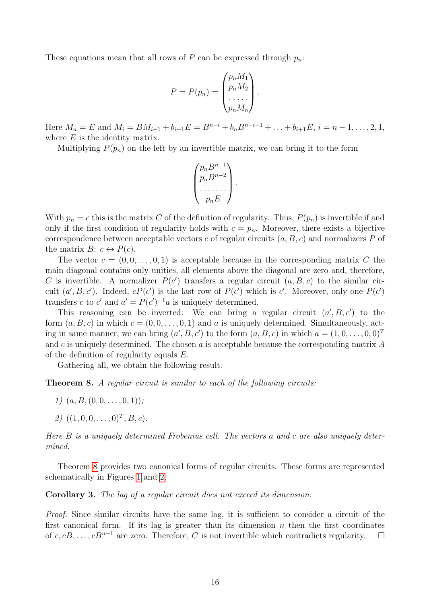These equations mean that all rows of P can be expressed through  $p_n$ :

$$
P = P(p_n) = \begin{pmatrix} p_n M_1 \\ p_n M_2 \\ \dots \\ p_n M_n \end{pmatrix}.
$$

Here  $M_n = E$  and  $M_i = BM_{i+1} + b_{i+1}E = B^{n-i} + b_n B^{n-i-1} + \ldots + b_{i+1}E, i = n-1, \ldots, 2, 1$ , where  $E$  is the identity matrix.

Multiplying  $P(p_n)$  on the left by an invertible matrix, we can bring it to the form

$$
\begin{pmatrix} p_n B^{n-1} \\ p_n B^{n-2} \\ \cdots \\ p_n E \end{pmatrix}.
$$

With  $p_n = c$  this is the matrix C of the definition of regularity. Thus,  $P(p_n)$  is invertible if and only if the first condition of regularity holds with  $c = p_n$ . Moreover, there exists a bijective correspondence between acceptable vectors c of regular circuits  $(a, B, c)$  and normalizers P of the matrix  $B: c \leftrightarrow P(c)$ .

The vector  $c = (0, 0, \ldots, 0, 1)$  is acceptable because in the corresponding matrix C the main diagonal contains only unities, all elements above the diagonal are zero and, therefore, C is invertible. A normalizer  $P(c')$  transfers a regular circuit  $(a, B, c)$  to the similar circuit  $(a', B, c')$ . Indeed,  $cP(c')$  is the last row of  $P(c')$  which is c'. Moreover, only one  $P(c')$ transfers c to c' and  $a' = P(c')^{-1}a$  is uniquely determined.

This reasoning can be inverted: We can bring a regular circuit  $(a', B, c')$  to the form  $(a, B, c)$  in which  $c = (0, 0, \ldots, 0, 1)$  and a is uniquely determined. Simultaneously, acting in same manner, we can bring  $(a', B, c')$  to the form  $(a, B, c)$  in which  $a = (1, 0, \ldots, 0, 0)^T$ and  $c$  is uniquely determined. The chosen  $a$  is acceptable because the corresponding matrix  $A$ of the definition of regularity equals E.

Gathering all, we obtain the following result.

<span id="page-15-1"></span>**Theorem 8.** A regular circuit is similar to each of the following circuits:

- 1)  $(a, B, (0, 0, \ldots, 0, 1))$ ;
- 2)  $((1, 0, 0, \ldots, 0)^T, B, c)$ .

Here B is a uniquely determined Frobenius cell. The vectors a and c are also uniquely determined.

Theorem [8](#page-15-1) provides two canonical forms of regular circuits. These forms are represented schematically in Figures [1](#page-16-0) and [2.](#page-16-1)

<span id="page-15-0"></span>Corollary 3. The lag of a regular circuit does not exceed its dimension.

Proof. Since similar circuits have the same lag, it is sufficient to consider a circuit of the first canonical form. If its lag is greater than its dimension  $n$  then the first coordinates of c, cB, ...,  $cB^{n-1}$  are zero. Therefore, C is not invertible which contradicts regularity.  $□$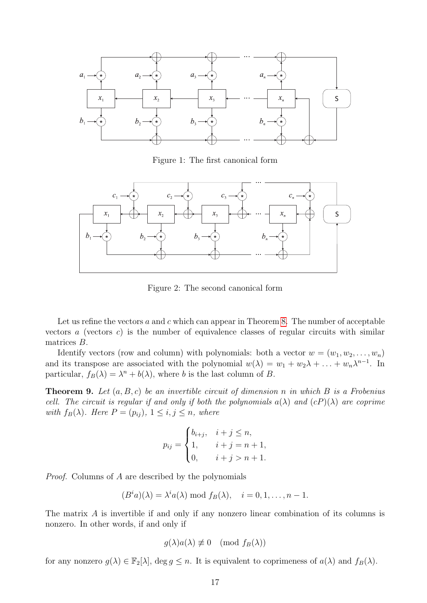

<span id="page-16-0"></span>Figure 1: The first canonical form



<span id="page-16-1"></span>Figure 2: The second canonical form

Let us refine the vectors  $a$  and  $c$  which can appear in Theorem [8.](#page-15-1) The number of acceptable vectors  $a$  (vectors  $c$ ) is the number of equivalence classes of regular circuits with similar matrices B.

Identify vectors (row and column) with polynomials: both a vector  $w = (w_1, w_2, \ldots, w_n)$ and its transpose are associated with the polynomial  $w(\lambda) = w_1 + w_2\lambda + \ldots + w_n\lambda^{n-1}$ . In particular,  $f_B(\lambda) = \lambda^n + b(\lambda)$ , where b is the last column of B.

<span id="page-16-2"></span>**Theorem 9.** Let  $(a, B, c)$  be an invertible circuit of dimension n in which B is a Frobenius cell. The circuit is regular if and only if both the polynomials  $a(\lambda)$  and  $(cP)(\lambda)$  are coprime with  $f_B(\lambda)$ . Here  $P = (p_{ij}), 1 \leq i, j \leq n$ , where

$$
p_{ij} = \begin{cases} b_{i+j}, & i+j \le n, \\ 1, & i+j = n+1, \\ 0, & i+j > n+1. \end{cases}
$$

Proof. Columns of A are described by the polynomials

$$
(B^i a)(\lambda) = \lambda^i a(\lambda) \bmod f_B(\lambda), \quad i = 0, 1, \ldots, n - 1.
$$

The matrix A is invertible if and only if any nonzero linear combination of its columns is nonzero. In other words, if and only if

$$
g(\lambda)a(\lambda) \not\equiv 0 \pmod{f_B(\lambda)}
$$

for any nonzero  $g(\lambda) \in \mathbb{F}_2[\lambda]$ , deg  $g \leq n$ . It is equivalent to coprimeness of  $a(\lambda)$  and  $f_B(\lambda)$ .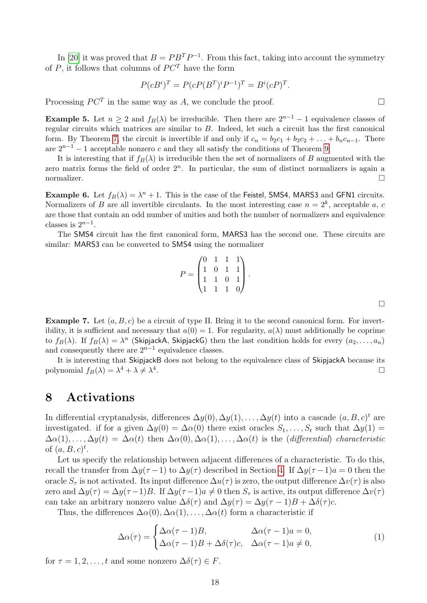In [\[20\]](#page-24-10) it was proved that  $B = P B^T P^{-1}$ . From this fact, taking into account the symmetry of  $P$ , it follows that columns of  $PC<sup>T</sup>$  have the form

$$
P(cBi)T = P(cP(BT)iP-1)T = Bi(cP)T.
$$

Processing  $PC^T$  in the same way as A, we conclude the proof.

**Example 5.** Let  $n \geq 2$  and  $f_B(\lambda)$  be irreducible. Then there are  $2^{n-1} - 1$  equivalence classes of regular circuits which matrices are similar to B. Indeed, let such a circuit has the first canonical form. By Theorem [7,](#page-14-0) the circuit is invertible if and only if  $c_n = b_2c_1 + b_3c_2 + \ldots + b_nc_{n-1}$ . There are  $2^{n-1} - 1$  acceptable nonzero c and they all satisfy the conditions of Theorem [9.](#page-16-2)

It is interesting that if  $f_B(\lambda)$  is irreducible then the set of normalizers of B augmented with the zero matrix forms the field of order  $2^n$ . In particular, the sum of distinct normalizers is again a normalizer.

**Example 6.** Let  $f_B(\lambda) = \lambda^n + 1$ . This is the case of the Feistel, SMS4, MARS3 and GFN1 circuits. Normalizers of B are all invertible circulants. In the most interesting case  $n = 2<sup>k</sup>$ , acceptable a, c are those that contain an odd number of unities and both the number of normalizers and equivalence classes is  $2^{n-1}$ .

The SMS4 circuit has the first canonical form, MARS3 has the second one. These circuits are similar: MARS3 can be converted to SMS4 using the normalizer

$$
P = \begin{pmatrix} 0 & 1 & 1 & 1 \\ 1 & 0 & 1 & 1 \\ 1 & 1 & 0 & 1 \\ 1 & 1 & 1 & 0 \end{pmatrix}.
$$

**Example 7.** Let  $(a, B, c)$  be a circuit of type II. Bring it to the second canonical form. For invertibility, it is sufficient and necessary that  $a(0) = 1$ . For regularity,  $a(\lambda)$  must additionally be coprime to  $f_B(\lambda)$ . If  $f_B(\lambda) = \lambda^n$  (SkipjackA, SkipjackG) then the last condition holds for every  $(a_2, \ldots, a_n)$ and consequently there are  $2^{n-1}$  equivalence classes.

It is interesting that SkipjackB does not belong to the equivalence class of SkipjackA because its polynomial  $f_B(\lambda) = \lambda^4 + \lambda \neq \lambda^4$ .

#### <span id="page-17-0"></span>8 Activations

In differential cryptanalysis, differences  $\Delta y(0), \Delta y(1), \ldots, \Delta y(t)$  into a cascade  $(a, B, c)^t$  are investigated. if for a given  $\Delta y(0) = \Delta \alpha(0)$  there exist oracles  $S_1, \ldots, S_t$  such that  $\Delta y(1) =$  $\Delta\alpha(1),\ldots,\Delta y(t) = \Delta\alpha(t)$  then  $\Delta\alpha(0),\Delta\alpha(1),\ldots,\Delta\alpha(t)$  is the (differential) characteristic of  $(a, B, c)^t$ .

Let us specify the relationship between adjacent differences of a characteristic. To do this, recall the transfer from  $\Delta y(\tau-1)$  to  $\Delta y(\tau)$  described in Section [4.](#page-6-0) If  $\Delta y(\tau-1)a=0$  then the oracle  $S_\tau$  is not activated. Its input difference  $\Delta u(\tau)$  is zero, the output difference  $\Delta v(\tau)$  is also zero and  $\Delta y(\tau) = \Delta y(\tau - 1)B$ . If  $\Delta y(\tau - 1)a \neq 0$  then  $S_{\tau}$  is active, its output difference  $\Delta v(\tau)$ can take an arbitrary nonzero value  $\Delta\delta(\tau)$  and  $\Delta y(\tau) = \Delta y(\tau - 1)B + \Delta\delta(\tau)c$ .

Thus, the differences  $\Delta \alpha(0), \Delta \alpha(1), \ldots, \Delta \alpha(t)$  form a characteristic if

<span id="page-17-1"></span>
$$
\Delta \alpha(\tau) = \begin{cases} \Delta \alpha(\tau - 1)B, & \Delta \alpha(\tau - 1)a = 0, \\ \Delta \alpha(\tau - 1)B + \Delta \delta(\tau)c, & \Delta \alpha(\tau - 1)a \neq 0, \end{cases}
$$
(1)

for  $\tau = 1, 2, \ldots, t$  and some nonzero  $\Delta \delta(\tau) \in F$ .

 $\Box$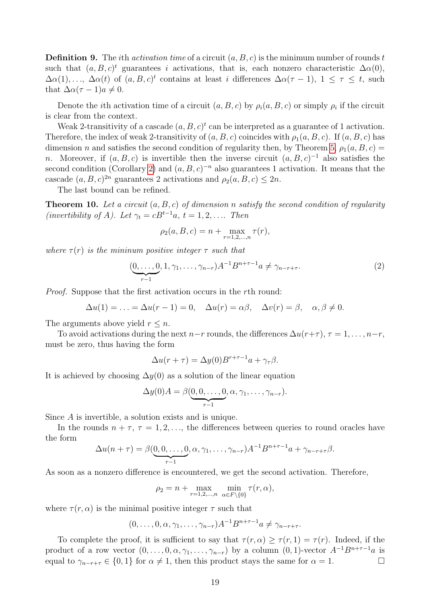**Definition 9.** The *i*th *activation time* of a circuit  $(a, B, c)$  is the minimum number of rounds t such that  $(a, B, c)^t$  guarantees i activations, that is, each nonzero characteristic  $\Delta \alpha(0)$ ,  $\Delta\alpha(1),\ldots, \Delta\alpha(t)$  of  $(a, B, c)^t$  contains at least i differences  $\Delta\alpha(\tau-1), 1 \leq \tau \leq t$ , such that  $\Delta \alpha (\tau - 1)a \neq 0$ .

Denote the *i*th activation time of a circuit  $(a, B, c)$  by  $\rho_i(a, B, c)$  or simply  $\rho_i$  if the circuit is clear from the context.

Weak 2-transitivity of a cascade  $(a, B, c)^t$  can be interpreted as a guarantee of 1 activation. Therefore, the index of weak 2-transitivity of  $(a, B, c)$  coincides with  $\rho_1(a, B, c)$ . If  $(a, B, c)$  has dimension n and satisfies the second condition of regularity then, by Theorem [5,](#page-10-1)  $\rho_1(a, B, c)$  = n. Moreover, if  $(a, B, c)$  is invertible then the inverse circuit  $(a, B, c)^{-1}$  also satisfies the second condition (Corollary [2\)](#page-11-0) and  $(a, B, c)^{-n}$  also guarantees 1 activation. It means that the cascade  $(a, B, c)^{2n}$  guarantees 2 activations and  $\rho_2(a, B, c) \leq 2n$ .

The last bound can be refined.

<span id="page-18-0"></span>**Theorem 10.** Let a circuit  $(a, B, c)$  of dimension n satisfy the second condition of regularity (invertibility of A). Let  $\gamma_t = cB^{t-1}a, t = 1, 2, \ldots$  Then

$$
\rho_2(a, B, c) = n + \max_{r=1,2,...,n} \tau(r),
$$

where  $\tau(r)$  is the mininum positive integer  $\tau$  such that

<span id="page-18-1"></span>
$$
(\underbrace{0, \dots, 0}_{r-1}, 1, \gamma_1, \dots, \gamma_{n-r}) A^{-1} B^{n+\tau-1} a \neq \gamma_{n-r+\tau}.
$$
 (2)

Proof. Suppose that the first activation occurs in the rth round:

$$
\Delta u(1) = \ldots = \Delta u(r-1) = 0, \quad \Delta u(r) = \alpha \beta, \quad \Delta v(r) = \beta, \quad \alpha, \beta \neq 0.
$$

The arguments above yield  $r \leq n$ .

To avoid activations during the next  $n-r$  rounds, the differences  $\Delta u(r+\tau)$ ,  $\tau = 1, \ldots, n-r$ , must be zero, thus having the form

$$
\Delta u(r+\tau) = \Delta y(0)B^{r+\tau-1}a + \gamma_\tau \beta.
$$

It is achieved by choosing  $\Delta y(0)$  as a solution of the linear equation

$$
\Delta y(0)A = \beta(\underbrace{0,0,\ldots,0}_{r-1},\alpha,\gamma_1,\ldots,\gamma_{n-r}).
$$

Since A is invertible, a solution exists and is unique.

In the rounds  $n + \tau$ ,  $\tau = 1, 2, \ldots$ , the differences between queries to round oracles have the form

$$
\Delta u(n+\tau) = \beta(\underbrace{0,0,\ldots,0}_{r-1},\alpha,\gamma_1,\ldots,\gamma_{n-r})A^{-1}B^{n+\tau-1}a + \gamma_{n-r+\tau}\beta.
$$

As soon as a nonzero difference is encountered, we get the second activation. Therefore,

$$
\rho_2 = n + \max_{r=1,2,\dots,n} \min_{\alpha \in F \setminus \{0\}} \tau(r,\alpha),
$$

where  $\tau(r,\alpha)$  is the minimal positive integer  $\tau$  such that

$$
(0,\ldots,0,\alpha,\gamma_1,\ldots,\gamma_{n-r})A^{-1}B^{n+\tau-1}a \neq \gamma_{n-r+\tau}.
$$

To complete the proof, it is sufficient to say that  $\tau(r, \alpha) > \tau(r, 1) = \tau(r)$ . Indeed, if the product of a row vector  $(0, \ldots, 0, \alpha, \gamma_1, \ldots, \gamma_{n-r})$  by a column  $(0, 1)$ -vector  $A^{-1}B^{n+\tau-1}a$  is equal to  $\gamma_{n-r+\tau} \in \{0,1\}$  for  $\alpha \neq 1$ , then this product stays the same for  $\alpha = 1$ .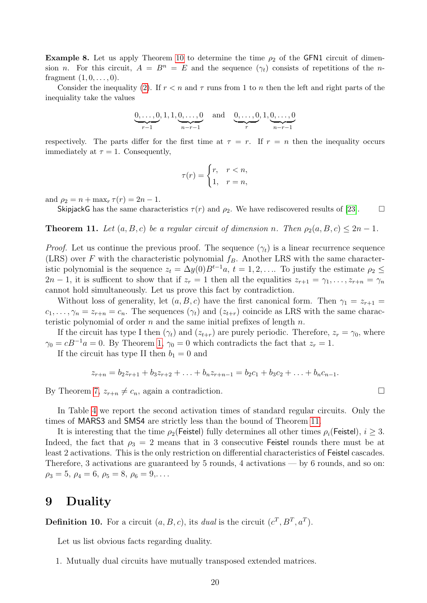**Example 8.** Let us apply Theorem [10](#page-18-0) to determine the time  $\rho_2$  of the GFN1 circuit of dimension n. For this circuit,  $A = B^n = E$  and the sequence  $(\gamma_t)$  consists of repetitions of the nfragment  $(1, 0, \ldots, 0)$ .

Consider the inequality [\(2\)](#page-18-1). If  $r < n$  and  $\tau$  runs from 1 to n then the left and right parts of the inequiality take the values

$$
\underbrace{0,\ldots,0}_{r-1},1,1,\underbrace{0,\ldots,0}_{n-r-1} \quad \text{and} \quad \underbrace{0,\ldots,0}_{r},1,\underbrace{0,\ldots,0}_{n-r-1}
$$

respectively. The parts differ for the first time at  $\tau = r$ . If  $r = n$  then the inequality occurs immediately at  $\tau = 1$ . Consequently,

$$
\tau(r) = \begin{cases} r, & r < n, \\ 1, & r = n, \end{cases}
$$

and  $\rho_2 = n + \max_r \tau(r) = 2n - 1$ .

SkipjackG has the same characteristics  $\tau(r)$  and  $\rho_2$ . We have rediscovered results of [\[23\]](#page-24-11).  $\Box$ 

<span id="page-19-1"></span>**Theorem 11.** Let  $(a, B, c)$  be a regular circuit of dimension n. Then  $\rho_2(a, B, c) \leq 2n - 1$ .

*Proof.* Let us continue the previous proof. The sequence  $(\gamma_t)$  is a linear recurrence sequence (LRS) over F with the characteristic polynomial  $f_B$ . Another LRS with the same characteristic polynomial is the sequence  $z_t = \Delta y(0)B^{t-1}a$ ,  $t = 1, 2, \ldots$  To justify the estimate  $\rho_2 \leq$  $2n-1$ , it is sufficent to show that if  $z_r = 1$  then all the equalities  $z_{r+1} = \gamma_1, \ldots, z_{r+n} = \gamma_n$ cannot hold simultaneously. Let us prove this fact by contradiction.

Without loss of generality, let  $(a, B, c)$  have the first canonical form. Then  $\gamma_1 = z_{r+1}$  $c_1, \ldots, \gamma_n = z_{r+n} = c_n$ . The sequences  $(\gamma_t)$  and  $(z_{t+r})$  coincide as LRS with the same characteristic polynomial of order n and the same initial prefixes of length  $n$ .

If the circuit has type I then  $(\gamma_t)$  and  $(z_{t+r})$  are purely periodic. Therefore,  $z_r = \gamma_0$ , where  $\gamma_0 = cB^{-1}a = 0$ . By Theorem [1,](#page-3-0)  $\gamma_0 = 0$  which contradicts the fact that  $z_r = 1$ .

If the circuit has type II then  $b_1 = 0$  and

$$
z_{r+n} = b_2 z_{r+1} + b_3 z_{r+2} + \ldots + b_n z_{r+n-1} = b_2 c_1 + b_3 c_2 + \ldots + b_n c_{n-1}.
$$

By Theorem [7,](#page-14-0)  $z_{r+n} \neq c_n$ , again a contradiction.

In Table [4](#page-20-0) we report the second activation times of standard regular circuits. Only the times of MARS3 and SMS4 are strictly less than the bound of Theorem [11.](#page-19-1)

It is interesting that the time  $\rho_2$ (Feistel) fully determines all other times  $\rho_i$ (Feistel),  $i \geq 3$ . Indeed, the fact that  $\rho_3 = 2$  means that in 3 consecutive Feistel rounds there must be at least 2 activations. This is the only restriction on differential characteristics of Feistel cascades. Therefore, 3 activations are guaranteed by 5 rounds, 4 activations — by 6 rounds, and so on:  $\rho_3 = 5, \ \rho_4 = 6, \ \rho_5 = 8, \ \rho_6 = 9, \ldots$ 

#### <span id="page-19-0"></span>9 Duality

**Definition 10.** For a circuit  $(a, B, c)$ , its dual is the circuit  $(c^T, B^T, a^T)$ .

Let us list obvious facts regarding duality.

1. Mutually dual circuits have mutually transposed extended matrices.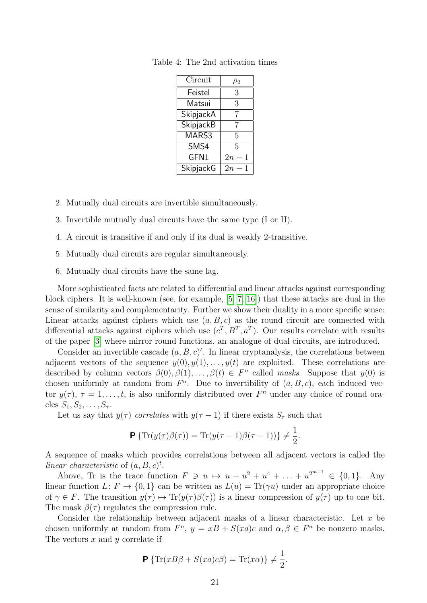<span id="page-20-0"></span>

| Circuit          | $\rho_2$ |
|------------------|----------|
| Feistel          | 3        |
| Matsui           | 3        |
| SkipjackA        | 7        |
| SkipjackB        | 7        |
| MARS3            | 5        |
| SMS4             | 5        |
| GFN1             | 2n<br>1  |
| <b>SkipjackG</b> | 2n       |

Table 4: The 2nd activation times

- 2. Mutually dual circuits are invertible simultaneously.
- 3. Invertible mutually dual circuits have the same type (I or II).
- 4. A circuit is transitive if and only if its dual is weakly 2-transitive.
- 5. Mutually dual circuits are regular simultaneously.
- 6. Mutually dual circuits have the same lag.

More sophisticated facts are related to differential and linear attacks against corresponding block ciphers. It is well-known (see, for example, [\[5,](#page-23-9) [7,](#page-23-10) [16\]](#page-24-0)) that these attacks are dual in the sense of similarity and complementarity. Further we show their duality in a more specific sense: Linear attacks against ciphers which use  $(a, B, c)$  as the round circuit are connected with differential attacks against ciphers which use  $(c^T, B^T, a^T)$ . Our results correlate with results of the paper [\[3\]](#page-23-1) where mirror round functions, an analogue of dual circuits, are introduced.

Consider an invertible cascade  $(a, B, c)^t$ . In linear cryptanalysis, the correlations between adjacent vectors of the sequence  $y(0), y(1), \ldots, y(t)$  are exploited. These correlations are described by column vectors  $\beta(0), \beta(1), \ldots, \beta(t) \in F<sup>n</sup>$  called masks. Suppose that  $y(0)$  is chosen uniformly at random from  $F<sup>n</sup>$ . Due to invertibility of  $(a, B, c)$ , each induced vector  $y(\tau)$ ,  $\tau = 1, \ldots, t$ , is also uniformly distributed over  $F<sup>n</sup>$  under any choice of round oracles  $S_1, S_2, \ldots, S_{\tau}$ .

Let us say that  $y(\tau)$  correlates with  $y(\tau-1)$  if there exists  $S_{\tau}$  such that

$$
\mathbf{P} \left\{ \text{Tr}(y(\tau)\beta(\tau)) = \text{Tr}(y(\tau - 1)\beta(\tau - 1)) \right\} \neq \frac{1}{2}.
$$

A sequence of masks which provides correlations between all adjacent vectors is called the linear characteristic of  $(a, B, c)^t$ .

Above, Tr is the trace function  $F \ni u \mapsto u + u^2 + u^4 + \ldots + u^{2^{m-1}} \in \{0,1\}$ . Any linear function  $L: F \to \{0, 1\}$  can be written as  $L(u) = \text{Tr}(\gamma u)$  under an appropriate choice of  $\gamma \in F$ . The transition  $y(\tau) \mapsto \text{Tr}(y(\tau) \beta(\tau))$  is a linear compression of  $y(\tau)$  up to one bit. The mask  $\beta(\tau)$  regulates the compression rule.

Consider the relationship between adjacent masks of a linear characteristic. Let  $x$  be chosen uniformly at random from  $F^n$ ,  $y = xB + S(xa)c$  and  $\alpha, \beta \in F^n$  be nonzero masks. The vectors  $x$  and  $y$  correlate if

$$
\mathbf{P} \left\{ \text{Tr}(xB\beta + S(xa)c\beta) = \text{Tr}(x\alpha) \right\} \neq \frac{1}{2}.
$$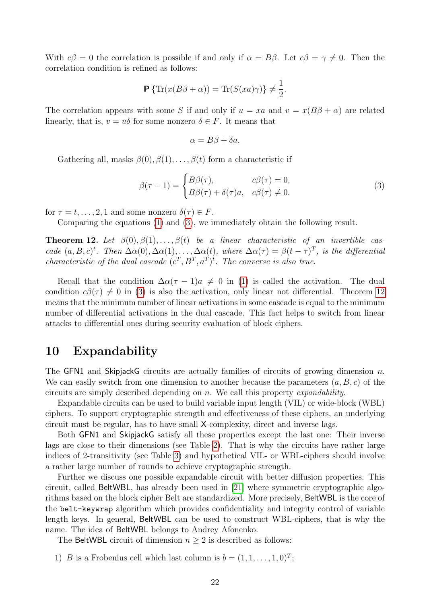With  $c\beta = 0$  the correlation is possible if and only if  $\alpha = B\beta$ . Let  $c\beta = \gamma \neq 0$ . Then the correlation condition is refined as follows:

$$
\mathbf{P}\left\{\operatorname{Tr}(x(B\beta+\alpha))=\operatorname{Tr}(S(xa)\gamma)\right\}\neq\frac{1}{2}.
$$

The correlation appears with some S if and only if  $u = xa$  and  $v = x(B\beta + \alpha)$  are related linearly, that is,  $v = u\delta$  for some nonzero  $\delta \in F$ . It means that

$$
\alpha = B\beta + \delta a.
$$

Gathering all, masks  $\beta(0), \beta(1), \ldots, \beta(t)$  form a characteristic if

<span id="page-21-1"></span>
$$
\beta(\tau - 1) = \begin{cases} B\beta(\tau), & c\beta(\tau) = 0, \\ B\beta(\tau) + \delta(\tau)a, & c\beta(\tau) \neq 0. \end{cases}
$$
 (3)

for  $\tau = t, \ldots, 2, 1$  and some nonzero  $\delta(\tau) \in F$ .

Comparing the equations [\(1\)](#page-17-1) and [\(3\)](#page-21-1), we immediately obtain the following result.

<span id="page-21-2"></span>**Theorem 12.** Let  $\beta(0), \beta(1), \ldots, \beta(t)$  be a linear characteristic of an invertible cascade  $(a, B, c)^t$ . Then  $\Delta\alpha(0), \Delta\alpha(1), \ldots, \Delta\alpha(t)$ , where  $\Delta\alpha(\tau) = \beta(t - \tau)^T$ , is the differential characteristic of the dual cascade  $(c^T, B^T, a^T)^t$ . The converse is also true.

Recall that the condition  $\Delta \alpha (\tau - 1)a \neq 0$  in [\(1\)](#page-17-1) is called the activation. The dual condition  $c\beta(\tau) \neq 0$  in [\(3\)](#page-21-1) is also the activation, only linear not differential. Theorem [12](#page-21-2) means that the minimum number of linear activations in some cascade is equal to the minimum number of differential activations in the dual cascade. This fact helps to switch from linear attacks to differential ones during security evaluation of block ciphers.

## <span id="page-21-0"></span>10 Expandability

The GFN1 and SkipjackG circuits are actually families of circuits of growing dimension  $n$ . We can easily switch from one dimension to another because the parameters  $(a, B, c)$  of the circuits are simply described depending on n. We call this property expandability.

Expandable circuits can be used to build variable input length (VIL) or wide-block (WBL) ciphers. To support cryptographic strength and effectiveness of these ciphers, an underlying circuit must be regular, has to have small X-complexity, direct and inverse lags.

Both GFN1 and SkipjackG satisfy all these properties except the last one: Their inverse lags are close to their dimensions (see Table [2\)](#page-8-1). That is why the circuits have rather large indices of 2-transitivity (see Table [3\)](#page-12-0) and hypothetical VIL- or WBL-ciphers should involve a rather large number of rounds to achieve cryptographic strength.

Further we discuss one possible expandable circuit with better diffusion properties. This circuit, called BeltWBL, has already been used in [\[21\]](#page-24-12) where symmetric cryptographic algorithms based on the block cipher Belt are standardized. More precisely, BeltWBL is the core of the belt-keywrap algorithm which provides confidentiality and integrity control of variable length keys. In general, BeltWBL can be used to construct WBL-ciphers, that is why the name. The idea of BeltWBL belongs to Andrey Afonenko.

The BeltWBL circuit of dimension  $n \geq 2$  is described as follows:

1) B is a Frobenius cell which last column is  $b = (1, 1, \ldots, 1, 0)^T$ ;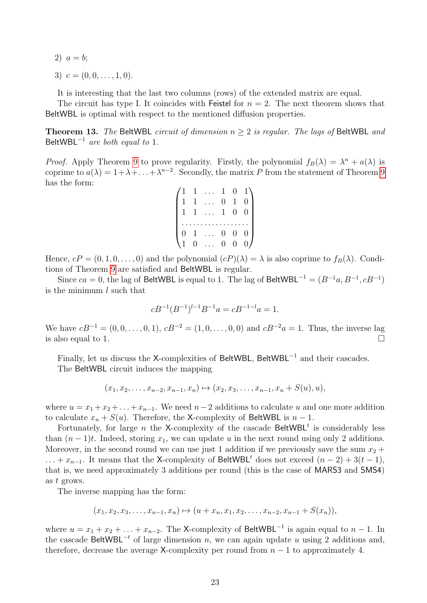- 2)  $a = b$ ;
- 3)  $c = (0, 0, \ldots, 1, 0).$

It is interesting that the last two columns (rows) of the extended matrix are equal.

The circuit has type I. It coincides with Feistel for  $n = 2$ . The next theorem shows that BeltWBL is optimal with respect to the mentioned diffusion properties.

**Theorem 13.** The BeltWBL circuit of dimension  $n > 2$  is regular. The lags of BeltWBL and BeltWBL $^{-1}$  are both equal to 1.

*Proof.* Apply Theorem [9](#page-16-2) to prove regularity. Firstly, the polynomial  $f_B(\lambda) = \lambda^n + a(\lambda)$  is coprime to  $a(\lambda) = 1 + \lambda + \ldots + \lambda^{n-2}$ . Secondly, the matrix P from the statement of Theorem [9](#page-16-2) has the form:

|  | $1 \ldots 1 \quad 0$ |                |                |          |
|--|----------------------|----------------|----------------|----------|
|  | $1 \ldots$           | $\overline{0}$ | $\mathbf{1}$   | $\theta$ |
|  | $1 \ldots 1 \quad 0$ |                |                | $\theta$ |
|  |                      |                |                |          |
|  | $1 \ldots$           | $\overline{0}$ | $\overline{0}$ | $\theta$ |
|  | $0 \ldots$           | $\overline{0}$ | $\overline{0}$ | 0I       |

Hence,  $cP = (0, 1, 0, \ldots, 0)$  and the polynomial  $(cP)(\lambda) = \lambda$  is also coprime to  $f_B(\lambda)$ . Conditions of Theorem [9](#page-16-2) are satisfied and BeltWBL is regular.

Since  $ca = 0$ , the lag of BeltWBL is equal to 1. The lag of BeltWBL<sup>-1</sup> =  $(B^{-1}a, B^{-1}, cB^{-1})$ is the minimum l such that

$$
cB^{-1}(B^{-1})^{l-1}B^{-1}a = cB^{-1-l}a = 1.
$$

We have  $cB^{-1} = (0, 0, \ldots, 0, 1), cB^{-2} = (1, 0, \ldots, 0, 0)$  and  $cB^{-2}a = 1$ . Thus, the inverse lag is also equal to 1.  $\Box$ 

Finally, let us discuss the X-complexities of BeltWBL, BeltWBL<sup>−</sup><sup>1</sup> and their cascades. The BeltWBL circuit induces the mapping

$$
(x_1, x_2, \ldots, x_{n-2}, x_{n-1}, x_n) \mapsto (x_2, x_3, \ldots, x_{n-1}, x_n + S(u), u),
$$

where  $u = x_1 + x_2 + \ldots + x_{n-1}$ . We need  $n-2$  additions to calculate u and one more addition to calculate  $x_n + S(u)$ . Therefore, the X-complexity of BeltWBL is  $n - 1$ .

Fortunately, for large n the X-complexity of the cascade BeltWBL<sup>t</sup> is considerably less than  $(n-1)t$ . Indeed, storing  $x_1$ , we can update u in the next round using only 2 additions. Moreover, in the second round we can use just 1 addition if we previously save the sum  $x_2 +$  $\dots + x_{n-1}$ . It means that the X-complexity of BeltWBL<sup>t</sup> does not exceed  $(n-2) + 3(t-1)$ , that is, we need approximately 3 additions per round (this is the case of MARS3 and SMS4) as t grows.

The inverse mapping has the form:

$$
(x_1, x_2, x_3, \ldots, x_{n-1}, x_n) \mapsto (u + x_n, x_1, x_2, \ldots, x_{n-2}, x_{n-1} + S(x_n)),
$$

where  $u = x_1 + x_2 + \ldots + x_{n-2}$ . The X-complexity of BeltWBL<sup>-1</sup> is again equal to  $n-1$ . In the cascade BeltWBL<sup>-t</sup> of large dimension n, we can again update u using 2 additions and, therefore, decrease the average X-complexity per round from  $n-1$  to approximately 4.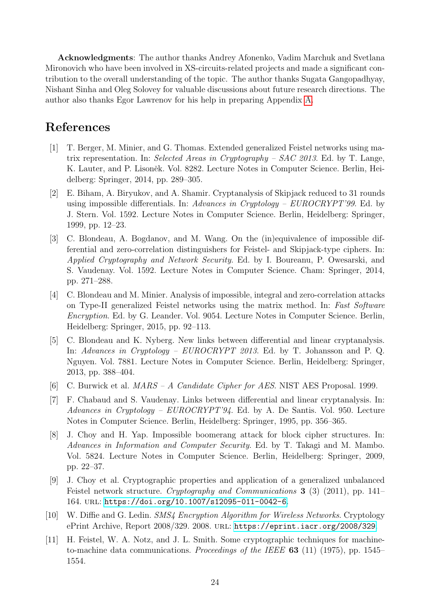Acknowledgments: The author thanks Andrey Afonenko, Vadim Marchuk and Svetlana Mironovich who have been involved in XS-circuits-related projects and made a significant contribution to the overall understanding of the topic. The author thanks Sugata Gangopadhyay, Nishant Sinha and Oleg Solovey for valuable discussions about future research directions. The author also thanks Egor Lawrenov for his help in preparing Appendix [A.](#page-25-0)

# References

- <span id="page-23-0"></span>[1] T. Berger, M. Minier, and G. Thomas. Extended generalized Feistel networks using matrix representation. In: Selected Areas in Cryptography –  $SAC$  2013. Ed. by T. Lange, K. Lauter, and P. Lisoněk. Vol. 8282. Lecture Notes in Computer Science. Berlin, Heidelberg: Springer, 2014, pp. 289–305.
- <span id="page-23-8"></span>[2] E. Biham, A. Biryukov, and A. Shamir. Cryptanalysis of Skipjack reduced to 31 rounds using impossible differentials. In: Advances in Cryptology –  $EUROCRYPT'99$ . Ed. by J. Stern. Vol. 1592. Lecture Notes in Computer Science. Berlin, Heidelberg: Springer, 1999, pp. 12–23.
- <span id="page-23-1"></span>[3] C. Blondeau, A. Bogdanov, and M. Wang. On the (in)equivalence of impossible differential and zero-correlation distinguishers for Feistel- and Skipjack-type ciphers. In: Applied Cryptography and Network Security. Ed. by I. Boureanu, P. Owesarski, and S. Vaudenay. Vol. 1592. Lecture Notes in Computer Science. Cham: Springer, 2014, pp. 271–288.
- <span id="page-23-2"></span>[4] C. Blondeau and M. Minier. Analysis of impossible, integral and zero-correlation attacks on Type-II generalized Feistel networks using the matrix method. In: Fast Software Encryption. Ed. by G. Leander. Vol. 9054. Lecture Notes in Computer Science. Berlin, Heidelberg: Springer, 2015, pp. 92–113.
- <span id="page-23-9"></span>[5] C. Blondeau and K. Nyberg. New links between differential and linear cryptanalysis. In: Advances in Cryptology – EUROCRYPT 2013. Ed. by T. Johansson and P. Q. Nguyen. Vol. 7881. Lecture Notes in Computer Science. Berlin, Heidelberg: Springer, 2013, pp. 388–404.
- <span id="page-23-4"></span>[6] C. Burwick et al. MARS – A Candidate Cipher for AES. NIST AES Proposal. 1999.
- <span id="page-23-10"></span>[7] F. Chabaud and S. Vaudenay. Links between differential and linear cryptanalysis. In: Advances in Cryptology – EUROCRYPT'94. Ed. by A. De Santis. Vol. 950. Lecture Notes in Computer Science. Berlin, Heidelberg: Springer, 1995, pp. 356–365.
- <span id="page-23-7"></span>[8] J. Choy and H. Yap. Impossible boomerang attack for block cipher structures. In: Advances in Information and Computer Security. Ed. by T. Takagi and M. Mambo. Vol. 5824. Lecture Notes in Computer Science. Berlin, Heidelberg: Springer, 2009, pp. 22–37.
- <span id="page-23-6"></span>[9] J. Choy et al. Cryptographic properties and application of a generalized unbalanced Feistel network structure. Cryptography and Communications 3 (3) (2011), pp. 141– 164. url: <https://doi.org/10.1007/s12095-011-0042-6>.
- <span id="page-23-5"></span>[10] W. Diffie and G. Ledin. SMS4 Encryption Algorithm for Wireless Networks. Cryptology ePrint Archive, Report 2008/329. 2008. url: <https://eprint.iacr.org/2008/329>.
- <span id="page-23-3"></span>[11] H. Feistel, W. A. Notz, and J. L. Smith. Some cryptographic techniques for machineto-machine data communications. Proceedings of the IEEE 63 (11) (1975), pp. 1545– 1554.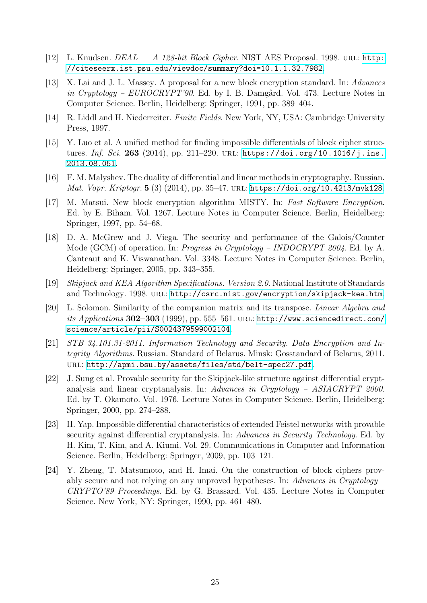- <span id="page-24-7"></span>[12] L. Knudsen.  $DEAL - A$  128-bit Block Cipher. NIST AES Proposal. 1998. URL: [http:](http://citeseerx.ist.psu.edu/viewdoc/summary?doi=10.1.1.32.7982) [//citeseerx.ist.psu.edu/viewdoc/summary?doi=10.1.1.32.7982](http://citeseerx.ist.psu.edu/viewdoc/summary?doi=10.1.1.32.7982).
- <span id="page-24-2"></span>[13] X. Lai and J. L. Massey. A proposal for a new block encryption standard. In: Advances in Cryptology –  $EUROCRYPT'90$ . Ed. by I. B. Damgård. Vol. 473. Lecture Notes in Computer Science. Berlin, Heidelberg: Springer, 1991, pp. 389–404.
- <span id="page-24-9"></span>[14] R. Liddl and H. Niederreiter. Finite Fields. New York, NY, USA: Cambridge University Press, 1997.
- <span id="page-24-8"></span>[15] Y. Luo et al. A unified method for finding impossible differentials of block cipher structures. Inf. Sci. 263 (2014), pp. 211-220. URL: [https://doi.org/10.1016/j.ins.](https://doi.org/10.1016/j.ins.2013.08.051) [2013.08.051](https://doi.org/10.1016/j.ins.2013.08.051).
- <span id="page-24-0"></span>[16] F. M. Malyshev. The duality of differential and linear methods in cryptography. Russian. Mat. Vopr. Kriptogr. 5 (3) (2014), pp. 35–47. url: <https://doi.org/10.4213/mvk128>.
- <span id="page-24-3"></span>[17] M. Matsui. New block encryption algorithm MISTY. In: Fast Software Encryption. Ed. by E. Biham. Vol. 1267. Lecture Notes in Computer Science. Berlin, Heidelberg: Springer, 1997, pp. 54–68.
- <span id="page-24-1"></span>[18] D. A. McGrew and J. Viega. The security and performance of the Galois/Counter Mode (GCM) of operation. In: *Progress in Cryptology – INDOCRYPT 2004*. Ed. by A. Canteaut and K. Viswanathan. Vol. 3348. Lecture Notes in Computer Science. Berlin, Heidelberg: Springer, 2005, pp. 343–355.
- <span id="page-24-4"></span>[19] Skipjack and KEA Algorithm Specifications. Version 2.0. National Institute of Standards and Technology. 1998. url: <http://csrc.nist.gov/encryption/skipjack-kea.htm>.
- <span id="page-24-10"></span>[20] L. Solomon. Similarity of the companion matrix and its transpose. Linear Algebra and its Applications 302–303 (1999), pp. 555–561. URL: [http://www.sciencedirect.com/](http://www.sciencedirect.com/science/article/pii/S0024379599002104) [science/article/pii/S0024379599002104](http://www.sciencedirect.com/science/article/pii/S0024379599002104).
- <span id="page-24-12"></span>[21] STB 34.101.31-2011. Information Technology and Security. Data Encryption and Integrity Algorithms. Russian. Standard of Belarus. Minsk: Gosstandard of Belarus, 2011. url: <http://apmi.bsu.by/assets/files/std/belt-spec27.pdf>.
- <span id="page-24-6"></span>[22] J. Sung et al. Provable security for the Skipjack-like structure against differential cryptanalysis and linear cryptanalysis. In: Advances in Cryptology – ASIACRYPT 2000. Ed. by T. Okamoto. Vol. 1976. Lecture Notes in Computer Science. Berlin, Heidelberg: Springer, 2000, pp. 274–288.
- <span id="page-24-11"></span>[23] H. Yap. Impossible differential characteristics of extended Feistel networks with provable security against differential cryptanalysis. In: Advances in Security Technology. Ed. by H. Kim, T. Kim, and A. Kiumi. Vol. 29. Communications in Computer and Information Science. Berlin, Heidelberg: Springer, 2009, pp. 103–121.
- <span id="page-24-5"></span>[24] Y. Zheng, T. Matsumoto, and H. Imai. On the construction of block ciphers provably secure and not relying on any unproved hypotheses. In: Advances in Cryptology – CRYPTO'89 Proceedings. Ed. by G. Brassard. Vol. 435. Lecture Notes in Computer Science. New York, NY: Springer, 1990, pp. 461–480.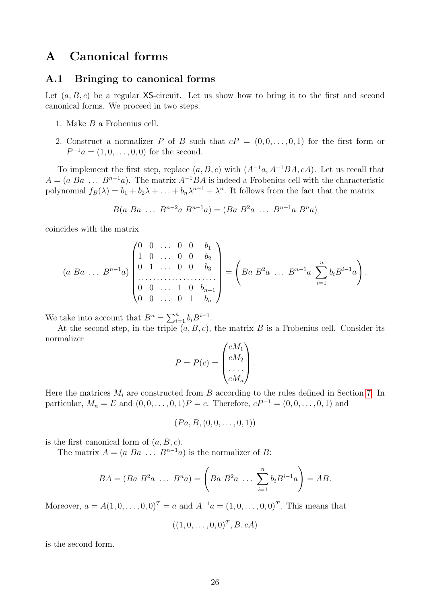# <span id="page-25-0"></span>A Canonical forms

#### A.1 Bringing to canonical forms

Let  $(a, B, c)$  be a regular XS-circuit. Let us show how to bring it to the first and second canonical forms. We proceed in two steps.

- 1. Make B a Frobenius cell.
- 2. Construct a normalizer P of B such that  $cP = (0, 0, \ldots, 0, 1)$  for the first form or  $P^{-1}a = (1, 0, \ldots, 0, 0)$  for the second.

To implement the first step, replace  $(a, B, c)$  with  $(A^{-1}a, A^{-1}BA, cA)$ . Let us recall that  $A = (a \ Ba \dots B^{n-1}a)$ . The matrix  $A^{-1}BA$  is indeed a Frobenius cell with the characteristic polynomial  $f_B(\lambda) = b_1 + b_2\lambda + \ldots + b_n\lambda^{n-1} + \lambda^n$ . It follows from the fact that the matrix

$$
B(a \; Ba \; \dots \; B^{n-2}a \; B^{n-1}a) = (Ba \; B^2a \; \dots \; B^{n-1}a \; B^n a)
$$

coincides with the matrix

$$
(a \ Ba \ \dots \ B^{n-1}a)\begin{pmatrix} 0 & 0 & \dots & 0 & 0 & b_1 \\ 1 & 0 & \dots & 0 & 0 & b_2 \\ 0 & 1 & \dots & 0 & 0 & b_3 \\ \vdots & \vdots & \vdots & \ddots & \vdots & \vdots \\ 0 & 0 & \dots & 1 & 0 & b_{n-1} \\ 0 & 0 & \dots & 0 & 1 & b_n \end{pmatrix} = \left( Ba \ B^2a \ \dots \ B^{n-1}a \ \sum_{i=1}^n b_i B^{i-1}a \right).
$$

We take into account that  $B^n = \sum_{i=1}^n b_i B^{i-1}$ .

At the second step, in the triple  $(a, B, c)$ , the matrix B is a Frobenius cell. Consider its normalizer  $\lambda$  cm  $\lambda$ 

$$
P = P(c) = \begin{pmatrix} cM_1 \\ cM_2 \\ \vdots \\ cM_n \end{pmatrix}.
$$

Here the matrices  $M_i$  are constructed from B according to the rules defined in Section [7.](#page-13-0) In particular,  $M_n = E$  and  $(0, 0, \ldots, 0, 1)P = c$ . Therefore,  $cP^{-1} = (0, 0, \ldots, 0, 1)$  and

$$
(Pa, B, (0, 0, \ldots, 0, 1))
$$

is the first canonical form of  $(a, B, c)$ .

The matrix  $A = (a \ Ba \dots B^{n-1}a)$  is the normalizer of B:

$$
BA = (Ba B2a ... Bna) = \left(Ba B2a ... \sum_{i=1}^{n} b_i B^{i-1}a\right) = AB.
$$

Moreover,  $a = A(1, 0, \ldots, 0, 0)^T = a$  and  $A^{-1}a = (1, 0, \ldots, 0, 0)^T$ . This means that

$$
((1,0,\ldots,0,0)^T,B,cA)
$$

is the second form.